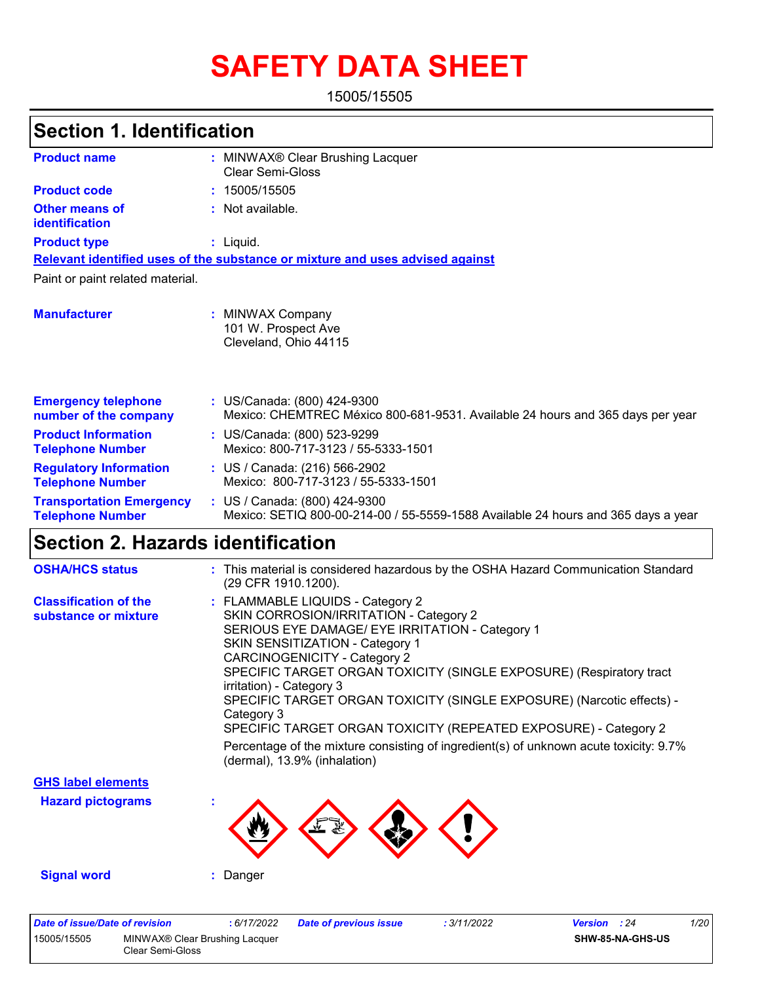# **SAFETY DATA SHEET**

15005/15505

#### MINWAX® Clear Brushing Lacquer **:** Clear Semi-Gloss **:** Not available. Liquid. **:** US/Canada: (800) 424-9300 **:** Mexico: CHEMTREC México 800-681-9531. Available 24 hours and 365 days per year **Product name Other means of identification Product type Emergency telephone number of the company Section 1. Identification Manufacturer :** MINWAX Company 101 W. Prospect Ave Cleveland, Ohio 44115 **Relevant identified uses of the substance or mixture and uses advised against** Paint or paint related material. **Product code :** 15005/15505 **Product Information Telephone Number :** US/Canada: (800) 523-9299 Mexico: 800-717-3123 / 55-5333-1501 **Regulatory Information Telephone Number :** US / Canada: (216) 566-2902 Mexico: 800-717-3123 / 55-5333-1501 **Transportation Emergency Telephone Number :** US / Canada: (800) 424-9300 Mexico: SETIQ 800-00-214-00 / 55-5559-1588 Available 24 hours and 365 days a year **Section 2. Hazards identification OSHA/HCS status :** This material is considered hazardous by the OSHA Hazard Communication Standard  $(200 \text{ CFD} 1010 1200)$

|                                                      | <u>(29 UFR 1910.1200).</u>                                                                                                                                                                                                                                                                                                                                                                                                                                                                                                                                                                           |
|------------------------------------------------------|------------------------------------------------------------------------------------------------------------------------------------------------------------------------------------------------------------------------------------------------------------------------------------------------------------------------------------------------------------------------------------------------------------------------------------------------------------------------------------------------------------------------------------------------------------------------------------------------------|
| <b>Classification of the</b><br>substance or mixture | : FLAMMABLE LIQUIDS - Category 2<br>SKIN CORROSION/IRRITATION - Category 2<br>SERIOUS EYE DAMAGE/ EYE IRRITATION - Category 1<br><b>SKIN SENSITIZATION - Category 1</b><br><b>CARCINOGENICITY - Category 2</b><br>SPECIFIC TARGET ORGAN TOXICITY (SINGLE EXPOSURE) (Respiratory tract<br>irritation) - Category 3<br>SPECIFIC TARGET ORGAN TOXICITY (SINGLE EXPOSURE) (Narcotic effects) -<br>Category 3<br>SPECIFIC TARGET ORGAN TOXICITY (REPEATED EXPOSURE) - Category 2<br>Percentage of the mixture consisting of ingredient(s) of unknown acute toxicity: 9.7%<br>(dermal), 13.9% (inhalation) |
| <b>GHS label elements</b>                            |                                                                                                                                                                                                                                                                                                                                                                                                                                                                                                                                                                                                      |
| <b>Hazard pictograms</b>                             |                                                                                                                                                                                                                                                                                                                                                                                                                                                                                                                                                                                                      |
| <b>Signal word</b>                                   | Danger                                                                                                                                                                                                                                                                                                                                                                                                                                                                                                                                                                                               |
|                                                      |                                                                                                                                                                                                                                                                                                                                                                                                                                                                                                                                                                                                      |

| Date of issue/Date of revision |                                                    | 6/17/2022 | Date of previous issue | : 3/11/2022 | <b>Version</b> : 24 |                         | 1/20 |
|--------------------------------|----------------------------------------------------|-----------|------------------------|-------------|---------------------|-------------------------|------|
| 15005/15505                    | MINWAX® Clear Brushing Lacquer<br>Clear Semi-Gloss |           |                        |             |                     | <b>SHW-85-NA-GHS-US</b> |      |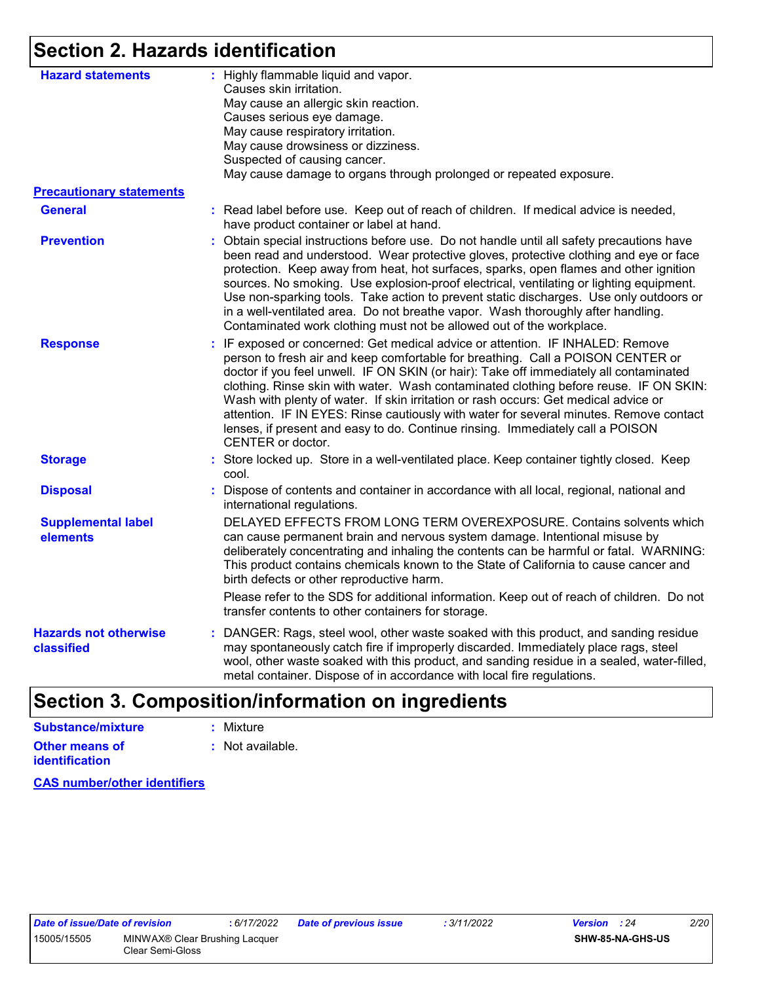### **Section 2. Hazards identification**

| <b>Hazard statements</b>                   | : Highly flammable liquid and vapor.<br>Causes skin irritation.<br>May cause an allergic skin reaction.<br>Causes serious eye damage.<br>May cause respiratory irritation.<br>May cause drowsiness or dizziness.<br>Suspected of causing cancer.<br>May cause damage to organs through prolonged or repeated exposure.                                                                                                                                                                                                                                                                                                                       |
|--------------------------------------------|----------------------------------------------------------------------------------------------------------------------------------------------------------------------------------------------------------------------------------------------------------------------------------------------------------------------------------------------------------------------------------------------------------------------------------------------------------------------------------------------------------------------------------------------------------------------------------------------------------------------------------------------|
| <b>Precautionary statements</b>            |                                                                                                                                                                                                                                                                                                                                                                                                                                                                                                                                                                                                                                              |
| <b>General</b>                             | : Read label before use. Keep out of reach of children. If medical advice is needed,<br>have product container or label at hand.                                                                                                                                                                                                                                                                                                                                                                                                                                                                                                             |
| <b>Prevention</b>                          | Obtain special instructions before use. Do not handle until all safety precautions have<br>been read and understood. Wear protective gloves, protective clothing and eye or face<br>protection. Keep away from heat, hot surfaces, sparks, open flames and other ignition<br>sources. No smoking. Use explosion-proof electrical, ventilating or lighting equipment.<br>Use non-sparking tools. Take action to prevent static discharges. Use only outdoors or<br>in a well-ventilated area. Do not breathe vapor. Wash thoroughly after handling.<br>Contaminated work clothing must not be allowed out of the workplace.                   |
| <b>Response</b>                            | : IF exposed or concerned: Get medical advice or attention. IF INHALED: Remove<br>person to fresh air and keep comfortable for breathing. Call a POISON CENTER or<br>doctor if you feel unwell. IF ON SKIN (or hair): Take off immediately all contaminated<br>clothing. Rinse skin with water. Wash contaminated clothing before reuse. IF ON SKIN:<br>Wash with plenty of water. If skin irritation or rash occurs: Get medical advice or<br>attention. IF IN EYES: Rinse cautiously with water for several minutes. Remove contact<br>lenses, if present and easy to do. Continue rinsing. Immediately call a POISON<br>CENTER or doctor. |
| <b>Storage</b>                             | : Store locked up. Store in a well-ventilated place. Keep container tightly closed. Keep<br>cool.                                                                                                                                                                                                                                                                                                                                                                                                                                                                                                                                            |
| <b>Disposal</b>                            | Dispose of contents and container in accordance with all local, regional, national and<br>international regulations.                                                                                                                                                                                                                                                                                                                                                                                                                                                                                                                         |
| <b>Supplemental label</b><br>elements      | DELAYED EFFECTS FROM LONG TERM OVEREXPOSURE. Contains solvents which<br>can cause permanent brain and nervous system damage. Intentional misuse by<br>deliberately concentrating and inhaling the contents can be harmful or fatal. WARNING:<br>This product contains chemicals known to the State of California to cause cancer and<br>birth defects or other reproductive harm.                                                                                                                                                                                                                                                            |
|                                            | Please refer to the SDS for additional information. Keep out of reach of children. Do not<br>transfer contents to other containers for storage.                                                                                                                                                                                                                                                                                                                                                                                                                                                                                              |
| <b>Hazards not otherwise</b><br>classified | : DANGER: Rags, steel wool, other waste soaked with this product, and sanding residue<br>may spontaneously catch fire if improperly discarded. Immediately place rags, steel<br>wool, other waste soaked with this product, and sanding residue in a sealed, water-filled,<br>metal container. Dispose of in accordance with local fire regulations.                                                                                                                                                                                                                                                                                         |

#### **Section 3. Composition/information on ingredients Substance/mixture :** Mixture

| Supstance/mixture                              | : MIXIUTE        |
|------------------------------------------------|------------------|
| <b>Other means of</b><br><b>identification</b> | : Not available. |

**CAS number/other identifiers**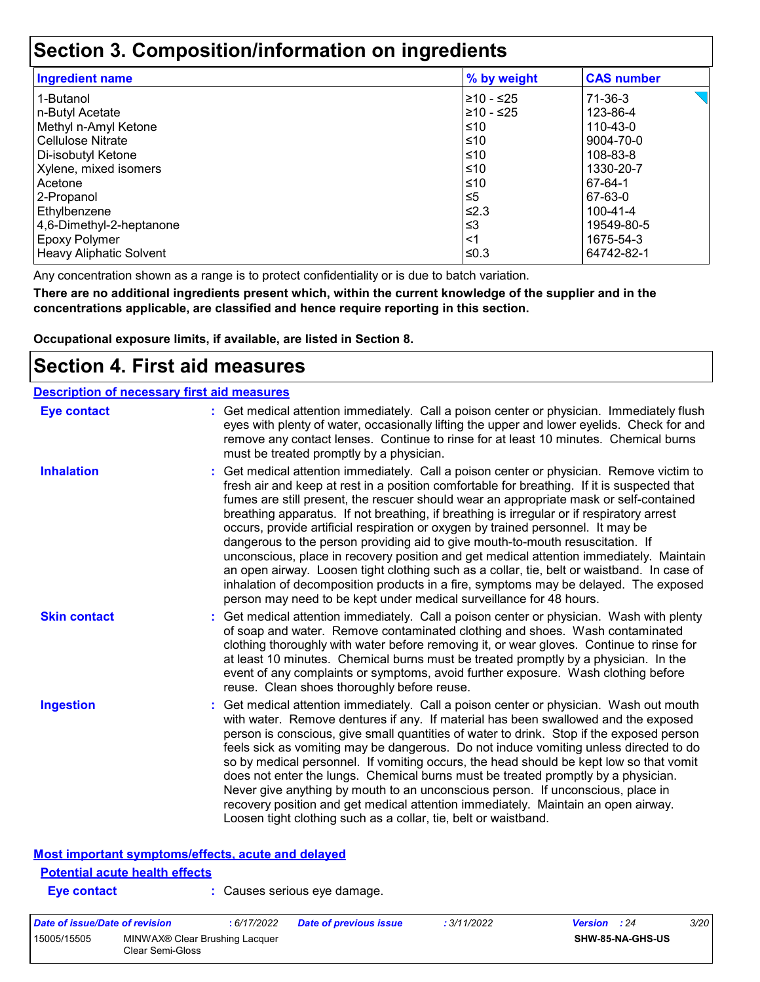### **Section 3. Composition/information on ingredients**

| <b>Ingredient name</b>         | % by weight | <b>CAS number</b> |
|--------------------------------|-------------|-------------------|
| 1-Butanol                      | 210 - ≤25   | 71-36-3           |
| n-Butyl Acetate                | ≥10 - ≤25   | 123-86-4          |
| Methyl n-Amyl Ketone           | ≤10         | 110-43-0          |
| <b>Cellulose Nitrate</b>       | ≤10         | 9004-70-0         |
| Di-isobutyl Ketone             | ≤10         | 108-83-8          |
| Xylene, mixed isomers          | $≤10$       | 1330-20-7         |
| Acetone                        | ≤10         | 67-64-1           |
| 2-Propanol                     | $\leq 5$    | 67-63-0           |
| Ethylbenzene                   | ≤2.3        | 100-41-4          |
| 4,6-Dimethyl-2-heptanone       | $≤3$        | 19549-80-5        |
| <b>Epoxy Polymer</b>           | $<$ 1       | 1675-54-3         |
| <b>Heavy Aliphatic Solvent</b> | ≤0.3        | 64742-82-1        |

Any concentration shown as a range is to protect confidentiality or is due to batch variation.

**There are no additional ingredients present which, within the current knowledge of the supplier and in the concentrations applicable, are classified and hence require reporting in this section.**

**Occupational exposure limits, if available, are listed in Section 8.**

### **Section 4. First aid measures**

| <b>Description of necessary first aid measures</b> |                                                                                                                                                                                                                                                                                                                                                                                                                                                                                                                                                                                                                                                                                                                                                                                                                                                                                                              |
|----------------------------------------------------|--------------------------------------------------------------------------------------------------------------------------------------------------------------------------------------------------------------------------------------------------------------------------------------------------------------------------------------------------------------------------------------------------------------------------------------------------------------------------------------------------------------------------------------------------------------------------------------------------------------------------------------------------------------------------------------------------------------------------------------------------------------------------------------------------------------------------------------------------------------------------------------------------------------|
| <b>Eye contact</b>                                 | : Get medical attention immediately. Call a poison center or physician. Immediately flush<br>eyes with plenty of water, occasionally lifting the upper and lower eyelids. Check for and<br>remove any contact lenses. Continue to rinse for at least 10 minutes. Chemical burns<br>must be treated promptly by a physician.                                                                                                                                                                                                                                                                                                                                                                                                                                                                                                                                                                                  |
| <b>Inhalation</b>                                  | : Get medical attention immediately. Call a poison center or physician. Remove victim to<br>fresh air and keep at rest in a position comfortable for breathing. If it is suspected that<br>fumes are still present, the rescuer should wear an appropriate mask or self-contained<br>breathing apparatus. If not breathing, if breathing is irregular or if respiratory arrest<br>occurs, provide artificial respiration or oxygen by trained personnel. It may be<br>dangerous to the person providing aid to give mouth-to-mouth resuscitation. If<br>unconscious, place in recovery position and get medical attention immediately. Maintain<br>an open airway. Loosen tight clothing such as a collar, tie, belt or waistband. In case of<br>inhalation of decomposition products in a fire, symptoms may be delayed. The exposed<br>person may need to be kept under medical surveillance for 48 hours. |
| <b>Skin contact</b>                                | : Get medical attention immediately. Call a poison center or physician. Wash with plenty<br>of soap and water. Remove contaminated clothing and shoes. Wash contaminated<br>clothing thoroughly with water before removing it, or wear gloves. Continue to rinse for<br>at least 10 minutes. Chemical burns must be treated promptly by a physician. In the<br>event of any complaints or symptoms, avoid further exposure. Wash clothing before<br>reuse. Clean shoes thoroughly before reuse.                                                                                                                                                                                                                                                                                                                                                                                                              |
| <b>Ingestion</b>                                   | : Get medical attention immediately. Call a poison center or physician. Wash out mouth<br>with water. Remove dentures if any. If material has been swallowed and the exposed<br>person is conscious, give small quantities of water to drink. Stop if the exposed person<br>feels sick as vomiting may be dangerous. Do not induce vomiting unless directed to do<br>so by medical personnel. If vomiting occurs, the head should be kept low so that vomit<br>does not enter the lungs. Chemical burns must be treated promptly by a physician.<br>Never give anything by mouth to an unconscious person. If unconscious, place in<br>recovery position and get medical attention immediately. Maintain an open airway.<br>Loosen tight clothing such as a collar, tie, belt or waistband.                                                                                                                  |

#### **Most important symptoms/effects, acute and delayed**

### **Potential acute health effects**

**Eye contact :** Causes serious eye damage.

| Date of issue/Date of revision |                                                    | : 6/17/2022 | Date of previous issue | : 3/11/2022 | <b>Version</b> : 24 | 3/20 |
|--------------------------------|----------------------------------------------------|-------------|------------------------|-------------|---------------------|------|
| 15005/15505                    | MINWAX® Clear Brushing Lacquer<br>Clear Semi-Gloss |             |                        |             | SHW-85-NA-GHS-US    |      |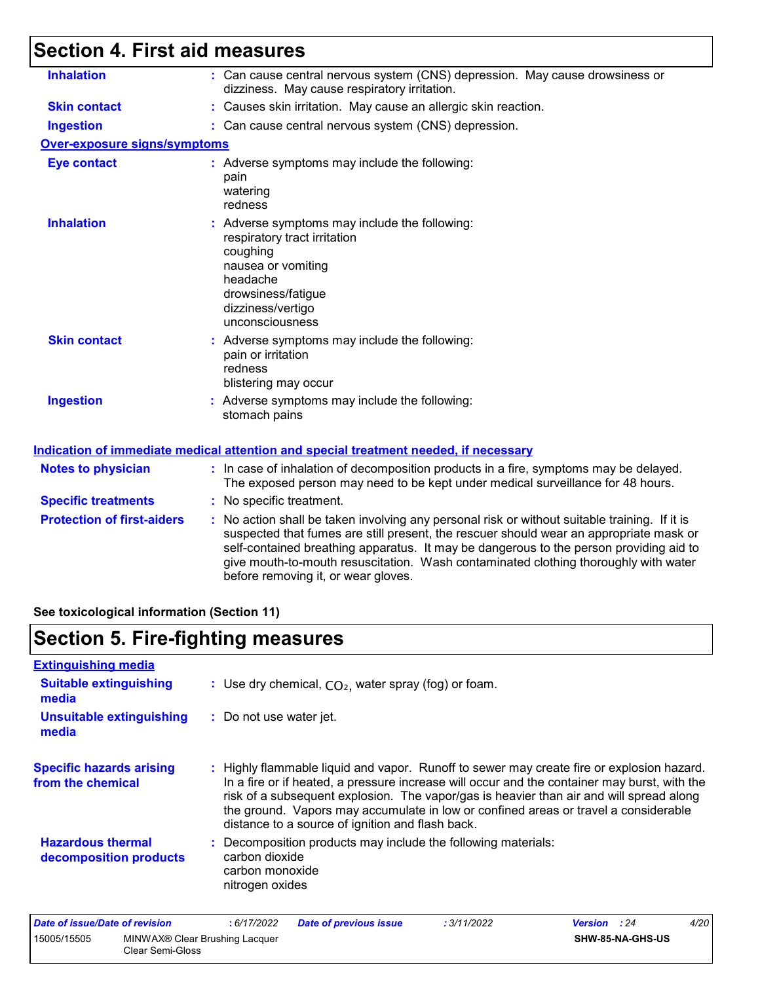## **Section 4. First aid measures**

| <b>Inhalation</b>                   | : Can cause central nervous system (CNS) depression. May cause drowsiness or<br>dizziness. May cause respiratory irritation.                                                                                                                                                                                                                                                                                    |
|-------------------------------------|-----------------------------------------------------------------------------------------------------------------------------------------------------------------------------------------------------------------------------------------------------------------------------------------------------------------------------------------------------------------------------------------------------------------|
| <b>Skin contact</b>                 | : Causes skin irritation. May cause an allergic skin reaction.                                                                                                                                                                                                                                                                                                                                                  |
| <b>Ingestion</b>                    | : Can cause central nervous system (CNS) depression.                                                                                                                                                                                                                                                                                                                                                            |
| <b>Over-exposure signs/symptoms</b> |                                                                                                                                                                                                                                                                                                                                                                                                                 |
| <b>Eye contact</b>                  | : Adverse symptoms may include the following:<br>pain<br>watering<br>redness                                                                                                                                                                                                                                                                                                                                    |
| <b>Inhalation</b>                   | : Adverse symptoms may include the following:<br>respiratory tract irritation<br>coughing<br>nausea or vomiting<br>headache<br>drowsiness/fatigue<br>dizziness/vertigo<br>unconsciousness                                                                                                                                                                                                                       |
| <b>Skin contact</b>                 | : Adverse symptoms may include the following:<br>pain or irritation<br>redness<br>blistering may occur                                                                                                                                                                                                                                                                                                          |
| <b>Ingestion</b>                    | : Adverse symptoms may include the following:<br>stomach pains                                                                                                                                                                                                                                                                                                                                                  |
|                                     | Indication of immediate medical attention and special treatment needed, if necessary                                                                                                                                                                                                                                                                                                                            |
| <b>Notes to physician</b>           | : In case of inhalation of decomposition products in a fire, symptoms may be delayed.<br>The exposed person may need to be kept under medical surveillance for 48 hours.                                                                                                                                                                                                                                        |
| <b>Specific treatments</b>          | : No specific treatment.                                                                                                                                                                                                                                                                                                                                                                                        |
| <b>Protection of first-aiders</b>   | : No action shall be taken involving any personal risk or without suitable training. If it is<br>suspected that fumes are still present, the rescuer should wear an appropriate mask or<br>self-contained breathing apparatus. It may be dangerous to the person providing aid to<br>give mouth-to-mouth resuscitation. Wash contaminated clothing thoroughly with water<br>before removing it, or wear gloves. |
|                                     |                                                                                                                                                                                                                                                                                                                                                                                                                 |

**See toxicological information (Section 11)**

## **Section 5. Fire-fighting measures**

| <b>Extinguishing media</b>                           |                                                                                                                                                                                                                                                                                                                                                                                                                                 |
|------------------------------------------------------|---------------------------------------------------------------------------------------------------------------------------------------------------------------------------------------------------------------------------------------------------------------------------------------------------------------------------------------------------------------------------------------------------------------------------------|
| <b>Suitable extinguishing</b><br>media               | : Use dry chemical, $CO2$ , water spray (fog) or foam.                                                                                                                                                                                                                                                                                                                                                                          |
| <b>Unsuitable extinguishing</b><br>media             | : Do not use water jet.                                                                                                                                                                                                                                                                                                                                                                                                         |
| <b>Specific hazards arising</b><br>from the chemical | : Highly flammable liquid and vapor. Runoff to sewer may create fire or explosion hazard.<br>In a fire or if heated, a pressure increase will occur and the container may burst, with the<br>risk of a subsequent explosion. The vapor/gas is heavier than air and will spread along<br>the ground. Vapors may accumulate in low or confined areas or travel a considerable<br>distance to a source of ignition and flash back. |
| <b>Hazardous thermal</b><br>decomposition products   | Decomposition products may include the following materials:<br>carbon dioxide<br>carbon monoxide<br>nitrogen oxides                                                                                                                                                                                                                                                                                                             |

| Date of issue/Date of revision |                                                    | : 6/17/2022 | <b>Date of previous issue</b> | : 3/11/2022 | <b>Version</b> : 24 |                         | 4/20 |
|--------------------------------|----------------------------------------------------|-------------|-------------------------------|-------------|---------------------|-------------------------|------|
| 15005/15505                    | MINWAX® Clear Brushing Lacquer<br>Clear Semi-Gloss |             |                               |             |                     | <b>SHW-85-NA-GHS-US</b> |      |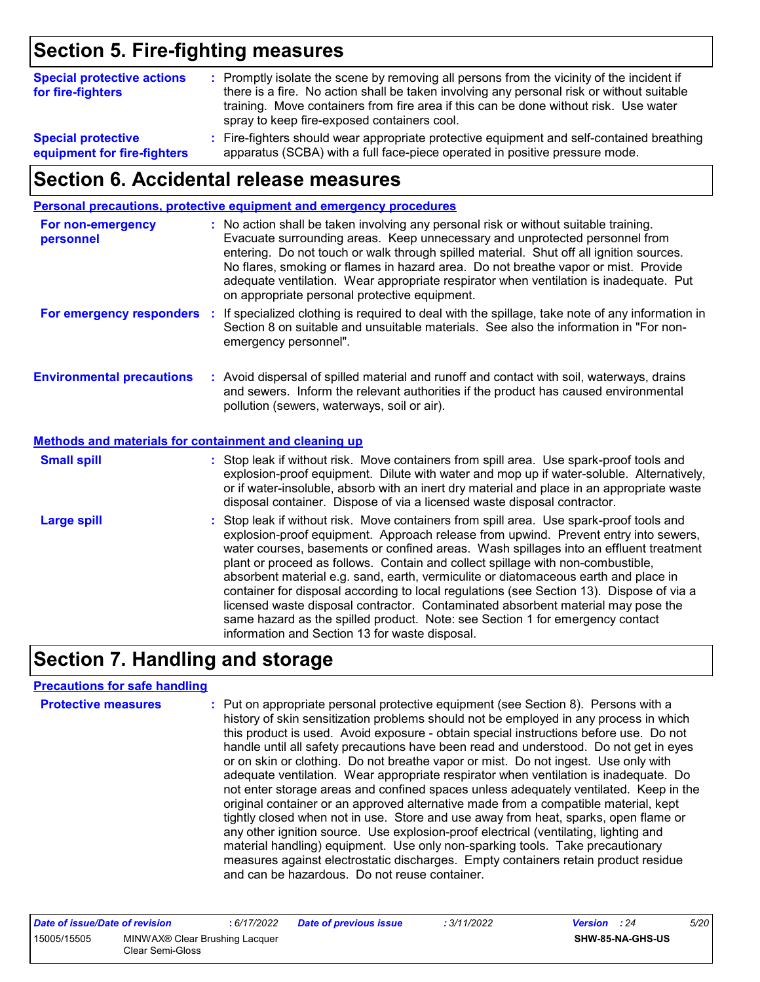### **Section 5. Fire-fighting measures**

| <b>Special protective actions</b><br>for fire-fighters   | : Promptly isolate the scene by removing all persons from the vicinity of the incident if<br>there is a fire. No action shall be taken involving any personal risk or without suitable<br>training. Move containers from fire area if this can be done without risk. Use water |
|----------------------------------------------------------|--------------------------------------------------------------------------------------------------------------------------------------------------------------------------------------------------------------------------------------------------------------------------------|
|                                                          | spray to keep fire-exposed containers cool.                                                                                                                                                                                                                                    |
| <b>Special protective</b><br>equipment for fire-fighters | : Fire-fighters should wear appropriate protective equipment and self-contained breathing<br>apparatus (SCBA) with a full face-piece operated in positive pressure mode.                                                                                                       |

### **Section 6. Accidental release measures**

|                                                       | Personal precautions, protective equipment and emergency procedures                                                                                                                                                                                                                                                                                                                                                                                                                                                                                                                                                                                                                                                                                                  |
|-------------------------------------------------------|----------------------------------------------------------------------------------------------------------------------------------------------------------------------------------------------------------------------------------------------------------------------------------------------------------------------------------------------------------------------------------------------------------------------------------------------------------------------------------------------------------------------------------------------------------------------------------------------------------------------------------------------------------------------------------------------------------------------------------------------------------------------|
| For non-emergency<br>personnel                        | : No action shall be taken involving any personal risk or without suitable training.<br>Evacuate surrounding areas. Keep unnecessary and unprotected personnel from<br>entering. Do not touch or walk through spilled material. Shut off all ignition sources.<br>No flares, smoking or flames in hazard area. Do not breathe vapor or mist. Provide<br>adequate ventilation. Wear appropriate respirator when ventilation is inadequate. Put<br>on appropriate personal protective equipment.                                                                                                                                                                                                                                                                       |
| For emergency responders                              | : If specialized clothing is required to deal with the spillage, take note of any information in<br>Section 8 on suitable and unsuitable materials. See also the information in "For non-<br>emergency personnel".                                                                                                                                                                                                                                                                                                                                                                                                                                                                                                                                                   |
| <b>Environmental precautions</b>                      | : Avoid dispersal of spilled material and runoff and contact with soil, waterways, drains<br>and sewers. Inform the relevant authorities if the product has caused environmental<br>pollution (sewers, waterways, soil or air).                                                                                                                                                                                                                                                                                                                                                                                                                                                                                                                                      |
| Methods and materials for containment and cleaning up |                                                                                                                                                                                                                                                                                                                                                                                                                                                                                                                                                                                                                                                                                                                                                                      |
| <b>Small spill</b>                                    | : Stop leak if without risk. Move containers from spill area. Use spark-proof tools and<br>explosion-proof equipment. Dilute with water and mop up if water-soluble. Alternatively,<br>or if water-insoluble, absorb with an inert dry material and place in an appropriate waste<br>disposal container. Dispose of via a licensed waste disposal contractor.                                                                                                                                                                                                                                                                                                                                                                                                        |
| <b>Large spill</b>                                    | : Stop leak if without risk. Move containers from spill area. Use spark-proof tools and<br>explosion-proof equipment. Approach release from upwind. Prevent entry into sewers,<br>water courses, basements or confined areas. Wash spillages into an effluent treatment<br>plant or proceed as follows. Contain and collect spillage with non-combustible,<br>absorbent material e.g. sand, earth, vermiculite or diatomaceous earth and place in<br>container for disposal according to local regulations (see Section 13). Dispose of via a<br>licensed waste disposal contractor. Contaminated absorbent material may pose the<br>same hazard as the spilled product. Note: see Section 1 for emergency contact<br>information and Section 13 for waste disposal. |

### **Section 7. Handling and storage**

### **Precautions for safe handling**

| <b>Protective measures</b> | : Put on appropriate personal protective equipment (see Section 8). Persons with a<br>history of skin sensitization problems should not be employed in any process in which<br>this product is used. Avoid exposure - obtain special instructions before use. Do not<br>handle until all safety precautions have been read and understood. Do not get in eyes<br>or on skin or clothing. Do not breathe vapor or mist. Do not ingest. Use only with<br>adequate ventilation. Wear appropriate respirator when ventilation is inadequate. Do<br>not enter storage areas and confined spaces unless adequately ventilated. Keep in the<br>original container or an approved alternative made from a compatible material, kept<br>tightly closed when not in use. Store and use away from heat, sparks, open flame or<br>any other ignition source. Use explosion-proof electrical (ventilating, lighting and<br>material handling) equipment. Use only non-sparking tools. Take precautionary<br>measures against electrostatic discharges. Empty containers retain product residue |
|----------------------------|-----------------------------------------------------------------------------------------------------------------------------------------------------------------------------------------------------------------------------------------------------------------------------------------------------------------------------------------------------------------------------------------------------------------------------------------------------------------------------------------------------------------------------------------------------------------------------------------------------------------------------------------------------------------------------------------------------------------------------------------------------------------------------------------------------------------------------------------------------------------------------------------------------------------------------------------------------------------------------------------------------------------------------------------------------------------------------------|
|                            | and can be hazardous. Do not reuse container.                                                                                                                                                                                                                                                                                                                                                                                                                                                                                                                                                                                                                                                                                                                                                                                                                                                                                                                                                                                                                                     |

| Date of issue/Date of revision |                                                    | : 6/17/2022 | <b>Date of previous issue</b> | : 3/11/2022 | <b>Version</b> : 24 |                         | 5/20 |
|--------------------------------|----------------------------------------------------|-------------|-------------------------------|-------------|---------------------|-------------------------|------|
| 15005/15505                    | MINWAX® Clear Brushing Lacquer<br>Clear Semi-Gloss |             |                               |             |                     | <b>SHW-85-NA-GHS-US</b> |      |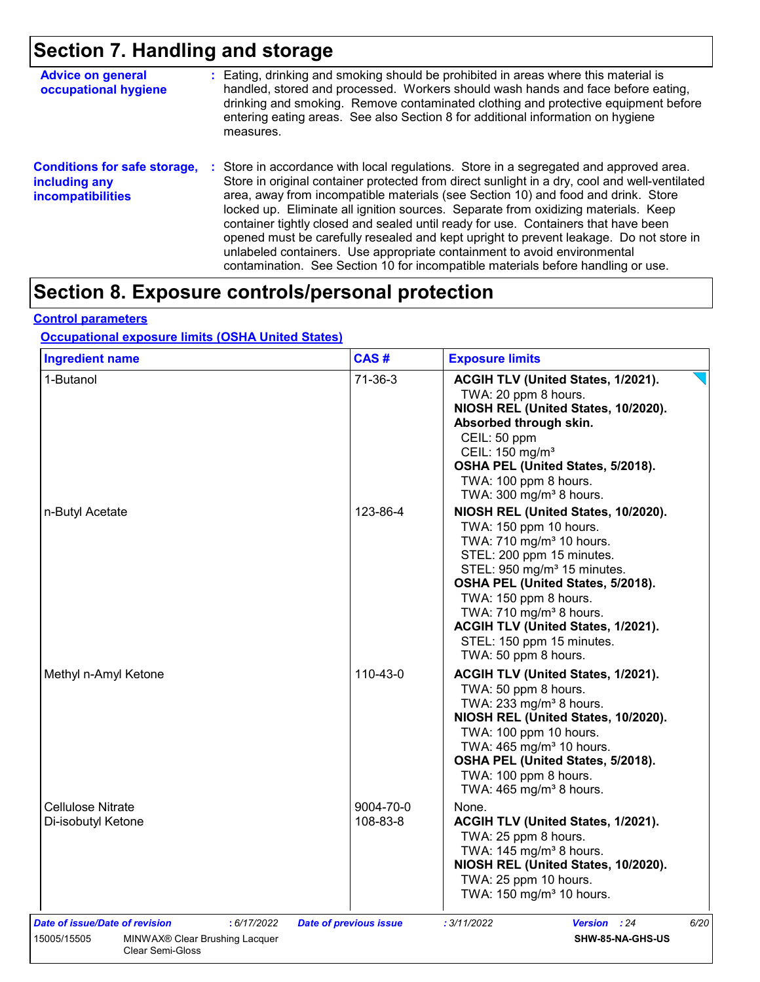## **Section 7. Handling and storage**

| <b>Advice on general</b><br>occupational hygiene                                 | : Eating, drinking and smoking should be prohibited in areas where this material is<br>handled, stored and processed. Workers should wash hands and face before eating,<br>drinking and smoking. Remove contaminated clothing and protective equipment before<br>entering eating areas. See also Section 8 for additional information on hygiene<br>measures.                                                                                                                                                                                                                                                                                                                                                      |
|----------------------------------------------------------------------------------|--------------------------------------------------------------------------------------------------------------------------------------------------------------------------------------------------------------------------------------------------------------------------------------------------------------------------------------------------------------------------------------------------------------------------------------------------------------------------------------------------------------------------------------------------------------------------------------------------------------------------------------------------------------------------------------------------------------------|
| <b>Conditions for safe storage,</b><br>including any<br><b>incompatibilities</b> | : Store in accordance with local regulations. Store in a segregated and approved area.<br>Store in original container protected from direct sunlight in a dry, cool and well-ventilated<br>area, away from incompatible materials (see Section 10) and food and drink. Store<br>locked up. Eliminate all ignition sources. Separate from oxidizing materials. Keep<br>container tightly closed and sealed until ready for use. Containers that have been<br>opened must be carefully resealed and kept upright to prevent leakage. Do not store in<br>unlabeled containers. Use appropriate containment to avoid environmental<br>contamination. See Section 10 for incompatible materials before handling or use. |

### **Section 8. Exposure controls/personal protection**

### **Control parameters**

### **Occupational exposure limits (OSHA United States)**

| <b>Ingredient name</b>                                                                         | CAS#                          | <b>Exposure limits</b>                                                                                                                                                                                                                                                                                                                                                        |
|------------------------------------------------------------------------------------------------|-------------------------------|-------------------------------------------------------------------------------------------------------------------------------------------------------------------------------------------------------------------------------------------------------------------------------------------------------------------------------------------------------------------------------|
| 1-Butanol                                                                                      | $71-36-3$                     | ACGIH TLV (United States, 1/2021).<br>TWA: 20 ppm 8 hours.<br>NIOSH REL (United States, 10/2020).<br>Absorbed through skin.<br>CEIL: 50 ppm<br>CEIL: 150 mg/m <sup>3</sup><br>OSHA PEL (United States, 5/2018).<br>TWA: 100 ppm 8 hours.<br>TWA: $300 \text{ mg/m}^3$ 8 hours.                                                                                                |
| n-Butyl Acetate                                                                                | 123-86-4                      | NIOSH REL (United States, 10/2020).<br>TWA: 150 ppm 10 hours.<br>TWA: 710 mg/m <sup>3</sup> 10 hours.<br>STEL: 200 ppm 15 minutes.<br>STEL: 950 mg/m <sup>3</sup> 15 minutes.<br>OSHA PEL (United States, 5/2018).<br>TWA: 150 ppm 8 hours.<br>TWA: 710 mg/m <sup>3</sup> 8 hours.<br>ACGIH TLV (United States, 1/2021).<br>STEL: 150 ppm 15 minutes.<br>TWA: 50 ppm 8 hours. |
| Methyl n-Amyl Ketone                                                                           | 110-43-0                      | ACGIH TLV (United States, 1/2021).<br>TWA: 50 ppm 8 hours.<br>TWA: 233 mg/m <sup>3</sup> 8 hours.<br>NIOSH REL (United States, 10/2020).<br>TWA: 100 ppm 10 hours.<br>TWA: 465 mg/m <sup>3</sup> 10 hours.<br>OSHA PEL (United States, 5/2018).<br>TWA: 100 ppm 8 hours.<br>TWA: 465 mg/m <sup>3</sup> 8 hours.                                                               |
| <b>Cellulose Nitrate</b><br>Di-isobutyl Ketone                                                 | 9004-70-0<br>108-83-8         | None.<br>ACGIH TLV (United States, 1/2021).<br>TWA: 25 ppm 8 hours.<br>TWA: $145 \text{ mg/m}^3$ 8 hours.<br>NIOSH REL (United States, 10/2020).<br>TWA: 25 ppm 10 hours.<br>TWA: 150 mg/m <sup>3</sup> 10 hours.                                                                                                                                                             |
| Date of issue/Date of revision<br>: 6/17/2022<br>15005/15505<br>MINWAX® Clear Brushing Lacquer | <b>Date of previous issue</b> | : 3/11/2022<br>6/20<br><b>Version</b> : 24                                                                                                                                                                                                                                                                                                                                    |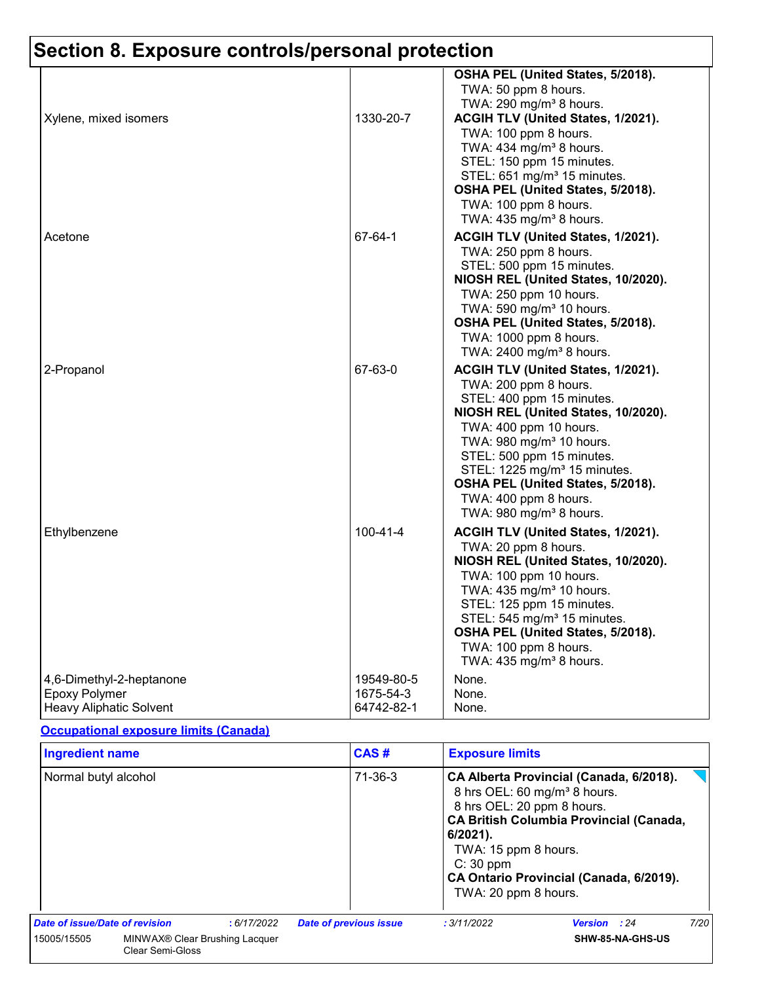|                          |                | OSHA PEL (United States, 5/2018).        |
|--------------------------|----------------|------------------------------------------|
|                          |                | TWA: 50 ppm 8 hours.                     |
|                          |                | TWA: 290 mg/m <sup>3</sup> 8 hours.      |
| Xylene, mixed isomers    | 1330-20-7      | ACGIH TLV (United States, 1/2021).       |
|                          |                | TWA: 100 ppm 8 hours.                    |
|                          |                | TWA: 434 mg/m <sup>3</sup> 8 hours.      |
|                          |                | STEL: 150 ppm 15 minutes.                |
|                          |                | STEL: 651 mg/m <sup>3</sup> 15 minutes.  |
|                          |                | OSHA PEL (United States, 5/2018).        |
|                          |                | TWA: 100 ppm 8 hours.                    |
|                          |                | TWA: 435 mg/m <sup>3</sup> 8 hours.      |
| Acetone                  | 67-64-1        | ACGIH TLV (United States, 1/2021).       |
|                          |                | TWA: 250 ppm 8 hours.                    |
|                          |                | STEL: 500 ppm 15 minutes.                |
|                          |                | NIOSH REL (United States, 10/2020).      |
|                          |                | TWA: 250 ppm 10 hours.                   |
|                          |                | TWA: 590 mg/m <sup>3</sup> 10 hours.     |
|                          |                | OSHA PEL (United States, 5/2018).        |
|                          |                | TWA: 1000 ppm 8 hours.                   |
|                          |                | TWA: 2400 mg/m <sup>3</sup> 8 hours.     |
| 2-Propanol               | 67-63-0        | ACGIH TLV (United States, 1/2021).       |
|                          |                | TWA: 200 ppm 8 hours.                    |
|                          |                | STEL: 400 ppm 15 minutes.                |
|                          |                | NIOSH REL (United States, 10/2020).      |
|                          |                | TWA: 400 ppm 10 hours.                   |
|                          |                | TWA: 980 mg/m <sup>3</sup> 10 hours.     |
|                          |                | STEL: 500 ppm 15 minutes.                |
|                          |                | STEL: 1225 mg/m <sup>3</sup> 15 minutes. |
|                          |                | OSHA PEL (United States, 5/2018).        |
|                          |                | TWA: 400 ppm 8 hours.                    |
|                          |                | TWA: 980 mg/m <sup>3</sup> 8 hours.      |
| Ethylbenzene             | $100 - 41 - 4$ | ACGIH TLV (United States, 1/2021).       |
|                          |                | TWA: 20 ppm 8 hours.                     |
|                          |                | NIOSH REL (United States, 10/2020).      |
|                          |                | TWA: 100 ppm 10 hours.                   |
|                          |                | TWA: 435 mg/m <sup>3</sup> 10 hours.     |
|                          |                | STEL: 125 ppm 15 minutes.                |
|                          |                | STEL: 545 mg/m <sup>3</sup> 15 minutes.  |
|                          |                | OSHA PEL (United States, 5/2018).        |
|                          |                | TWA: 100 ppm 8 hours.                    |
|                          |                | TWA: $435 \text{ mg/m}^3$ 8 hours.       |
| 4,6-Dimethyl-2-heptanone | 19549-80-5     | None.                                    |
| <b>Epoxy Polymer</b>     | 1675-54-3      | None.                                    |
| Heavy Aliphatic Solvent  | 64742-82-1     | None.                                    |

### **Occupational exposure limits (Canada)**

| <b>Ingredient name</b>                                                               |  |               | CAS#                                                                                                                                                                                                                                                                                        | <b>Exposure limits</b> |              |      |
|--------------------------------------------------------------------------------------|--|---------------|---------------------------------------------------------------------------------------------------------------------------------------------------------------------------------------------------------------------------------------------------------------------------------------------|------------------------|--------------|------|
| Normal butyl alcohol                                                                 |  | $71 - 36 - 3$ | CA Alberta Provincial (Canada, 6/2018).<br>8 hrs OEL: 60 mg/m <sup>3</sup> 8 hours.<br>8 hrs OEL: 20 ppm 8 hours.<br><b>CA British Columbia Provincial (Canada,</b><br>$6/2021$ .<br>TWA: 15 ppm 8 hours.<br>$C: 30$ ppm<br>CA Ontario Provincial (Canada, 6/2019).<br>TWA: 20 ppm 8 hours. |                        |              |      |
| Date of issue/Date of revision                                                       |  | :6/17/2022    | <b>Date of previous issue</b>                                                                                                                                                                                                                                                               | : 3/11/2022            | Version : 24 | 7/20 |
| MINWAX <sup>®</sup> Clear Brushing Lacquer<br>15005/15505<br><b>Clear Semi-Gloss</b> |  |               |                                                                                                                                                                                                                                                                                             | SHW-85-NA-GHS-US       |              |      |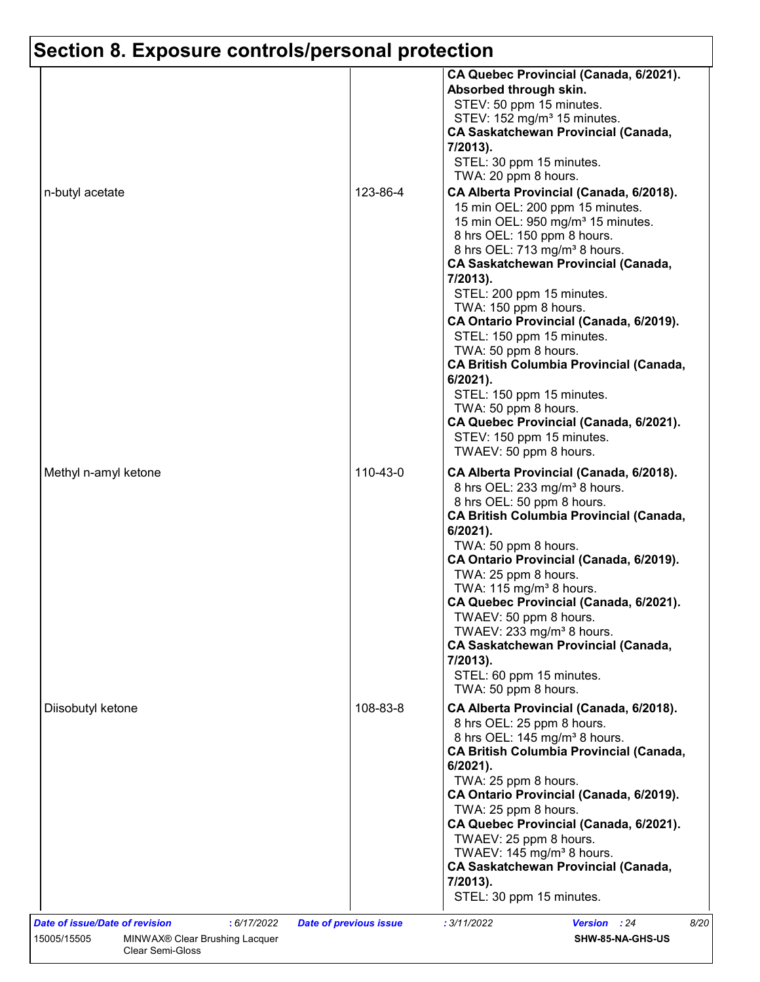| n-butyl acetate      | 123-86-4 | CA Quebec Provincial (Canada, 6/2021).<br>Absorbed through skin.<br>STEV: 50 ppm 15 minutes.<br>STEV: 152 mg/m <sup>3</sup> 15 minutes.<br><b>CA Saskatchewan Provincial (Canada,</b><br>7/2013).<br>STEL: 30 ppm 15 minutes.<br>TWA: 20 ppm 8 hours.<br>CA Alberta Provincial (Canada, 6/2018).<br>15 min OEL: 200 ppm 15 minutes.<br>15 min OEL: 950 mg/m <sup>3</sup> 15 minutes.<br>8 hrs OEL: 150 ppm 8 hours.<br>8 hrs OEL: 713 mg/m <sup>3</sup> 8 hours.<br><b>CA Saskatchewan Provincial (Canada,</b><br>7/2013).<br>STEL: 200 ppm 15 minutes.<br>TWA: 150 ppm 8 hours.<br>CA Ontario Provincial (Canada, 6/2019).<br>STEL: 150 ppm 15 minutes.<br>TWA: 50 ppm 8 hours.<br><b>CA British Columbia Provincial (Canada,</b><br>6/2021).<br>STEL: 150 ppm 15 minutes.<br>TWA: 50 ppm 8 hours. |
|----------------------|----------|-----------------------------------------------------------------------------------------------------------------------------------------------------------------------------------------------------------------------------------------------------------------------------------------------------------------------------------------------------------------------------------------------------------------------------------------------------------------------------------------------------------------------------------------------------------------------------------------------------------------------------------------------------------------------------------------------------------------------------------------------------------------------------------------------------|
|                      |          | CA Quebec Provincial (Canada, 6/2021).<br>STEV: 150 ppm 15 minutes.<br>TWAEV: 50 ppm 8 hours.                                                                                                                                                                                                                                                                                                                                                                                                                                                                                                                                                                                                                                                                                                       |
| Methyl n-amyl ketone | 110-43-0 | CA Alberta Provincial (Canada, 6/2018).<br>8 hrs OEL: 233 mg/m <sup>3</sup> 8 hours.<br>8 hrs OEL: 50 ppm 8 hours.<br><b>CA British Columbia Provincial (Canada,</b><br>$6/2021$ ).<br>TWA: 50 ppm 8 hours.<br>CA Ontario Provincial (Canada, 6/2019).<br>TWA: 25 ppm 8 hours.<br>TWA: $115 \text{ mg/m}^3$ 8 hours.<br>CA Quebec Provincial (Canada, 6/2021).<br>TWAEV: 50 ppm 8 hours.<br>TWAEV: 233 mg/m <sup>3</sup> 8 hours.<br><b>CA Saskatchewan Provincial (Canada,</b><br>7/2013).<br>STEL: 60 ppm 15 minutes.<br>TWA: 50 ppm 8 hours.                                                                                                                                                                                                                                                     |
| Diisobutyl ketone    | 108-83-8 | CA Alberta Provincial (Canada, 6/2018).<br>8 hrs OEL: 25 ppm 8 hours.<br>8 hrs OEL: 145 mg/m <sup>3</sup> 8 hours.<br><b>CA British Columbia Provincial (Canada,</b><br>$6/2021$ ).<br>TWA: 25 ppm 8 hours.<br>CA Ontario Provincial (Canada, 6/2019).<br>TWA: 25 ppm 8 hours.<br>CA Quebec Provincial (Canada, 6/2021).<br>TWAEV: 25 ppm 8 hours.<br>TWAEV: 145 mg/m <sup>3</sup> 8 hours.<br><b>CA Saskatchewan Provincial (Canada,</b><br>7/2013).<br>STEL: 30 ppm 15 minutes.                                                                                                                                                                                                                                                                                                                   |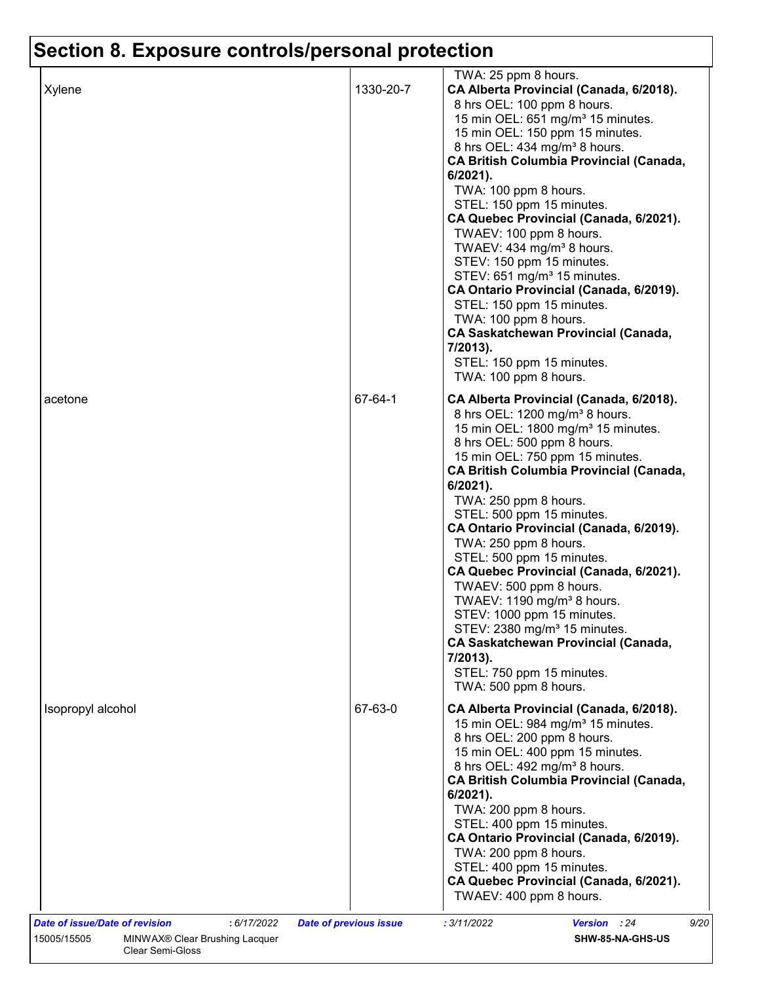| Xylene                                                                                                | 1330-20-7                     | TWA: 25 ppm 8 hours.<br>CA Alberta Provincial (Canada, 6/2018).<br>8 hrs OEL: 100 ppm 8 hours.<br>15 min OEL: 651 mg/m <sup>3</sup> 15 minutes.<br>15 min OEL: 150 ppm 15 minutes.<br>8 hrs OEL: 434 mg/m <sup>3</sup> 8 hours.<br><b>CA British Columbia Provincial (Canada,</b><br>6/2021).<br>TWA: 100 ppm 8 hours.<br>STEL: 150 ppm 15 minutes.<br>CA Quebec Provincial (Canada, 6/2021).<br>TWAEV: 100 ppm 8 hours.<br>TWAEV: 434 mg/m <sup>3</sup> 8 hours.<br>STEV: 150 ppm 15 minutes.<br>STEV: 651 mg/m <sup>3</sup> 15 minutes.<br>CA Ontario Provincial (Canada, 6/2019).<br>STEL: 150 ppm 15 minutes.<br>TWA: 100 ppm 8 hours.<br><b>CA Saskatchewan Provincial (Canada,</b>        |
|-------------------------------------------------------------------------------------------------------|-------------------------------|-------------------------------------------------------------------------------------------------------------------------------------------------------------------------------------------------------------------------------------------------------------------------------------------------------------------------------------------------------------------------------------------------------------------------------------------------------------------------------------------------------------------------------------------------------------------------------------------------------------------------------------------------------------------------------------------------|
| acetone                                                                                               | 67-64-1                       | 7/2013).<br>STEL: 150 ppm 15 minutes.<br>TWA: 100 ppm 8 hours.<br>CA Alberta Provincial (Canada, 6/2018).                                                                                                                                                                                                                                                                                                                                                                                                                                                                                                                                                                                       |
|                                                                                                       |                               | 8 hrs OEL: 1200 mg/m <sup>3</sup> 8 hours.<br>15 min OEL: 1800 mg/m <sup>3</sup> 15 minutes.<br>8 hrs OEL: 500 ppm 8 hours.<br>15 min OEL: 750 ppm 15 minutes.<br><b>CA British Columbia Provincial (Canada,</b><br>$6/2021$ ).<br>TWA: 250 ppm 8 hours.<br>STEL: 500 ppm 15 minutes.<br>CA Ontario Provincial (Canada, 6/2019).<br>TWA: 250 ppm 8 hours.<br>STEL: 500 ppm 15 minutes.<br>CA Quebec Provincial (Canada, 6/2021).<br>TWAEV: 500 ppm 8 hours.<br>TWAEV: 1190 mg/m <sup>3</sup> 8 hours.<br>STEV: 1000 ppm 15 minutes.<br>STEV: 2380 mg/m <sup>3</sup> 15 minutes.<br><b>CA Saskatchewan Provincial (Canada,</b><br>7/2013).<br>STEL: 750 ppm 15 minutes.<br>TWA: 500 ppm 8 hours. |
| Isopropyl alcohol                                                                                     | 67-63-0                       | CA Alberta Provincial (Canada, 6/2018).<br>15 min OEL: 984 mg/m <sup>3</sup> 15 minutes.<br>8 hrs OEL: 200 ppm 8 hours.<br>15 min OEL: 400 ppm 15 minutes.<br>8 hrs OEL: 492 mg/m <sup>3</sup> 8 hours.<br><b>CA British Columbia Provincial (Canada,</b><br>6/2021).<br>TWA: 200 ppm 8 hours.<br>STEL: 400 ppm 15 minutes.<br>CA Ontario Provincial (Canada, 6/2019).<br>TWA: 200 ppm 8 hours.<br>STEL: 400 ppm 15 minutes.<br>CA Quebec Provincial (Canada, 6/2021).<br>TWAEV: 400 ppm 8 hours.                                                                                                                                                                                               |
| <b>Date of issue/Date of revision</b><br>: 6/17/2022<br>15005/15505<br>MINWAX® Clear Brushing Lacquer | <b>Date of previous issue</b> | : 3/11/2022<br>Version : 24<br>9/20<br>SHW-85-NA-GHS-US                                                                                                                                                                                                                                                                                                                                                                                                                                                                                                                                                                                                                                         |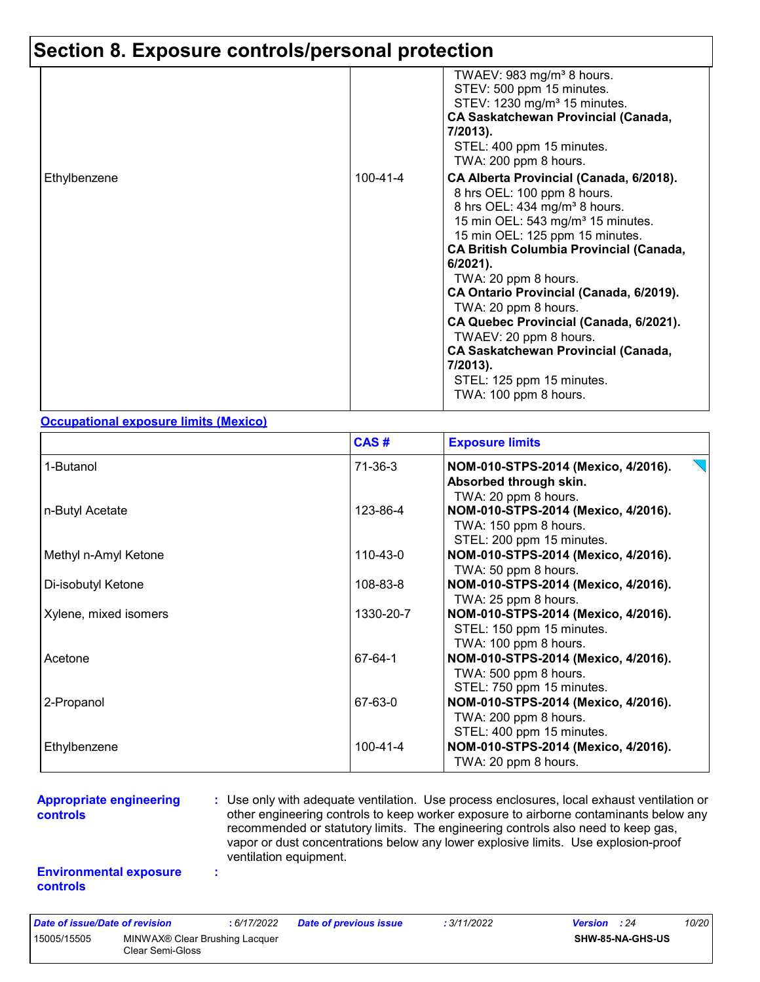|              |          | TWAEV: 983 mg/m <sup>3</sup> 8 hours.<br>STEV: 500 ppm 15 minutes.<br>STEV: 1230 mg/m <sup>3</sup> 15 minutes.<br><b>CA Saskatchewan Provincial (Canada,</b><br>7/2013).<br>STEL: 400 ppm 15 minutes.<br>TWA: 200 ppm 8 hours.                                                                                                                                                                                                                                                                                                                             |
|--------------|----------|------------------------------------------------------------------------------------------------------------------------------------------------------------------------------------------------------------------------------------------------------------------------------------------------------------------------------------------------------------------------------------------------------------------------------------------------------------------------------------------------------------------------------------------------------------|
| Ethylbenzene | 100-41-4 | CA Alberta Provincial (Canada, 6/2018).<br>8 hrs OEL: 100 ppm 8 hours.<br>8 hrs OEL: 434 mg/m <sup>3</sup> 8 hours.<br>15 min OEL: 543 mg/m <sup>3</sup> 15 minutes.<br>15 min OEL: 125 ppm 15 minutes.<br><b>CA British Columbia Provincial (Canada,</b><br>$6/2021$ ).<br>TWA: 20 ppm 8 hours.<br>CA Ontario Provincial (Canada, 6/2019).<br>TWA: 20 ppm 8 hours.<br>CA Quebec Provincial (Canada, 6/2021).<br>TWAEV: 20 ppm 8 hours.<br><b>CA Saskatchewan Provincial (Canada,</b><br>$7/2013$ ).<br>STEL: 125 ppm 15 minutes.<br>TWA: 100 ppm 8 hours. |

#### **Occupational exposure limits (Mexico)**

|                       | CAS#      | <b>Exposure limits</b>                                                                    |
|-----------------------|-----------|-------------------------------------------------------------------------------------------|
| 1-Butanol             | 71-36-3   | NOM-010-STPS-2014 (Mexico, 4/2016).<br>Absorbed through skin.<br>TWA: 20 ppm 8 hours.     |
| n-Butyl Acetate       | 123-86-4  | NOM-010-STPS-2014 (Mexico, 4/2016).<br>TWA: 150 ppm 8 hours.<br>STEL: 200 ppm 15 minutes. |
| Methyl n-Amyl Ketone  | 110-43-0  | NOM-010-STPS-2014 (Mexico, 4/2016).<br>TWA: 50 ppm 8 hours.                               |
| Di-isobutyl Ketone    | 108-83-8  | NOM-010-STPS-2014 (Mexico, 4/2016).<br>TWA: 25 ppm 8 hours.                               |
| Xylene, mixed isomers | 1330-20-7 | NOM-010-STPS-2014 (Mexico, 4/2016).<br>STEL: 150 ppm 15 minutes.<br>TWA: 100 ppm 8 hours. |
| Acetone               | 67-64-1   | NOM-010-STPS-2014 (Mexico, 4/2016).<br>TWA: 500 ppm 8 hours.<br>STEL: 750 ppm 15 minutes. |
| 2-Propanol            | 67-63-0   | NOM-010-STPS-2014 (Mexico, 4/2016).<br>TWA: 200 ppm 8 hours.<br>STEL: 400 ppm 15 minutes. |
| Ethylbenzene          | 100-41-4  | NOM-010-STPS-2014 (Mexico, 4/2016).<br>TWA: 20 ppm 8 hours.                               |

#### **Appropriate engineering controls**

**:** Use only with adequate ventilation. Use process enclosures, local exhaust ventilation or other engineering controls to keep worker exposure to airborne contaminants below any recommended or statutory limits. The engineering controls also need to keep gas, vapor or dust concentrations below any lower explosive limits. Use explosion-proof ventilation equipment.

#### **Environmental exposure controls**

**:**

| Date of issue/Date of revision |                                                                | : 6/17/2022 | <b>Date of previous issue</b> | : 3/11/2022 | <b>Version</b> : 24 |                         | 10/20 |
|--------------------------------|----------------------------------------------------------------|-------------|-------------------------------|-------------|---------------------|-------------------------|-------|
| 15005/15505                    | MINWAX <sup>®</sup> Clear Brushing Lacquer<br>Clear Semi-Gloss |             |                               |             |                     | <b>SHW-85-NA-GHS-US</b> |       |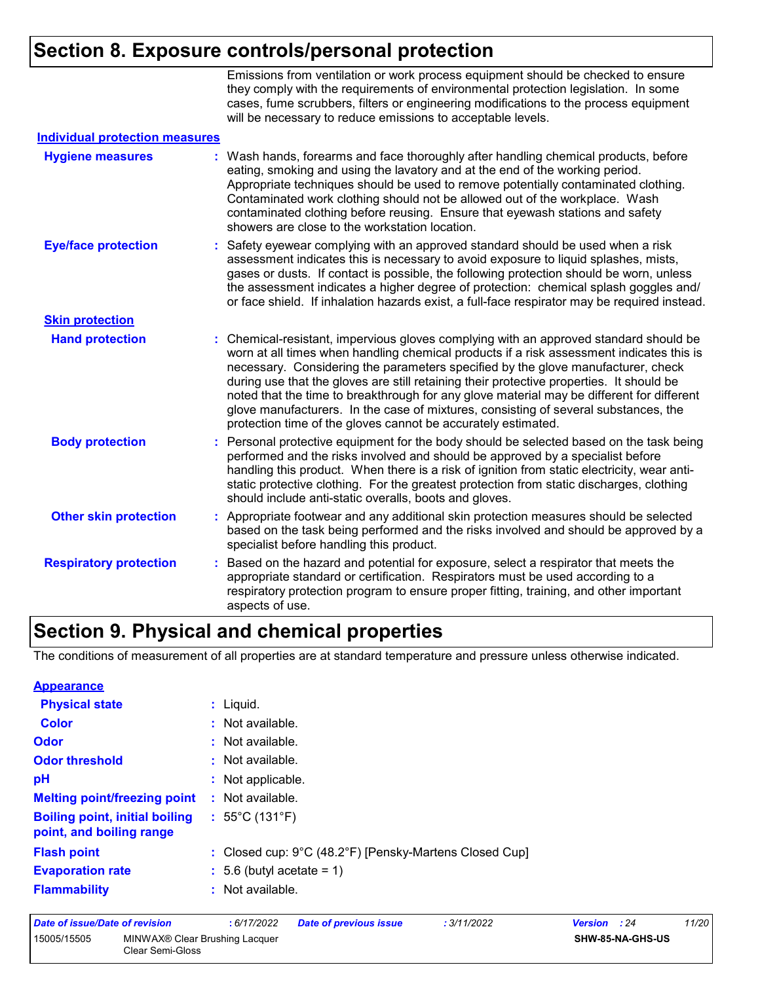Emissions from ventilation or work process equipment should be checked to ensure they comply with the requirements of environmental protection legislation. In some cases, fume scrubbers, filters or engineering modifications to the process equipment will be necessary to reduce emissions to acceptable levels.

| <b>Individual protection measures</b> |    |                                                                                                                                                                                                                                                                                                                                                                                                                                                                                                                                                                                                                        |
|---------------------------------------|----|------------------------------------------------------------------------------------------------------------------------------------------------------------------------------------------------------------------------------------------------------------------------------------------------------------------------------------------------------------------------------------------------------------------------------------------------------------------------------------------------------------------------------------------------------------------------------------------------------------------------|
| <b>Hygiene measures</b>               |    | Wash hands, forearms and face thoroughly after handling chemical products, before<br>eating, smoking and using the lavatory and at the end of the working period.<br>Appropriate techniques should be used to remove potentially contaminated clothing.<br>Contaminated work clothing should not be allowed out of the workplace. Wash<br>contaminated clothing before reusing. Ensure that eyewash stations and safety<br>showers are close to the workstation location.                                                                                                                                              |
| <b>Eye/face protection</b>            |    | : Safety eyewear complying with an approved standard should be used when a risk<br>assessment indicates this is necessary to avoid exposure to liquid splashes, mists,<br>gases or dusts. If contact is possible, the following protection should be worn, unless<br>the assessment indicates a higher degree of protection: chemical splash goggles and/<br>or face shield. If inhalation hazards exist, a full-face respirator may be required instead.                                                                                                                                                              |
| <b>Skin protection</b>                |    |                                                                                                                                                                                                                                                                                                                                                                                                                                                                                                                                                                                                                        |
| <b>Hand protection</b>                |    | : Chemical-resistant, impervious gloves complying with an approved standard should be<br>worn at all times when handling chemical products if a risk assessment indicates this is<br>necessary. Considering the parameters specified by the glove manufacturer, check<br>during use that the gloves are still retaining their protective properties. It should be<br>noted that the time to breakthrough for any glove material may be different for different<br>glove manufacturers. In the case of mixtures, consisting of several substances, the<br>protection time of the gloves cannot be accurately estimated. |
| <b>Body protection</b>                |    | : Personal protective equipment for the body should be selected based on the task being<br>performed and the risks involved and should be approved by a specialist before<br>handling this product. When there is a risk of ignition from static electricity, wear anti-<br>static protective clothing. For the greatest protection from static discharges, clothing<br>should include anti-static overalls, boots and gloves.                                                                                                                                                                                         |
| <b>Other skin protection</b>          |    | : Appropriate footwear and any additional skin protection measures should be selected<br>based on the task being performed and the risks involved and should be approved by a<br>specialist before handling this product.                                                                                                                                                                                                                                                                                                                                                                                              |
| <b>Respiratory protection</b>         | ÷. | Based on the hazard and potential for exposure, select a respirator that meets the<br>appropriate standard or certification. Respirators must be used according to a<br>respiratory protection program to ensure proper fitting, training, and other important<br>aspects of use.                                                                                                                                                                                                                                                                                                                                      |

### **Section 9. Physical and chemical properties**

The conditions of measurement of all properties are at standard temperature and pressure unless otherwise indicated.

| <b>Appearance</b>                                                 |                                                        |
|-------------------------------------------------------------------|--------------------------------------------------------|
| <b>Physical state</b>                                             | $:$ Liquid.                                            |
| <b>Color</b>                                                      | : Not available.                                       |
| <b>Odor</b>                                                       | : Not available.                                       |
| <b>Odor threshold</b>                                             | : Not available.                                       |
| pH                                                                | : Not applicable.                                      |
| <b>Melting point/freezing point</b>                               | : Not available.                                       |
| <b>Boiling point, initial boiling</b><br>point, and boiling range | : $55^{\circ}$ C (131 $^{\circ}$ F)                    |
| <b>Flash point</b>                                                | : Closed cup: 9°C (48.2°F) [Pensky-Martens Closed Cup] |
| <b>Evaporation rate</b>                                           | $\div$ 5.6 (butyl acetate = 1)                         |
| <b>Flammability</b>                                               | : Not available.                                       |

| Date of issue/Date of revision |                  | : 6/17/2022                                | <b>Date of previous issue</b> | : 3/11/2022 | <b>Version</b> : 24 |                  | 11/20 |
|--------------------------------|------------------|--------------------------------------------|-------------------------------|-------------|---------------------|------------------|-------|
| 15005/15505                    | Clear Semi-Gloss | MINWAX <sup>®</sup> Clear Brushing Lacquer |                               |             |                     | SHW-85-NA-GHS-US |       |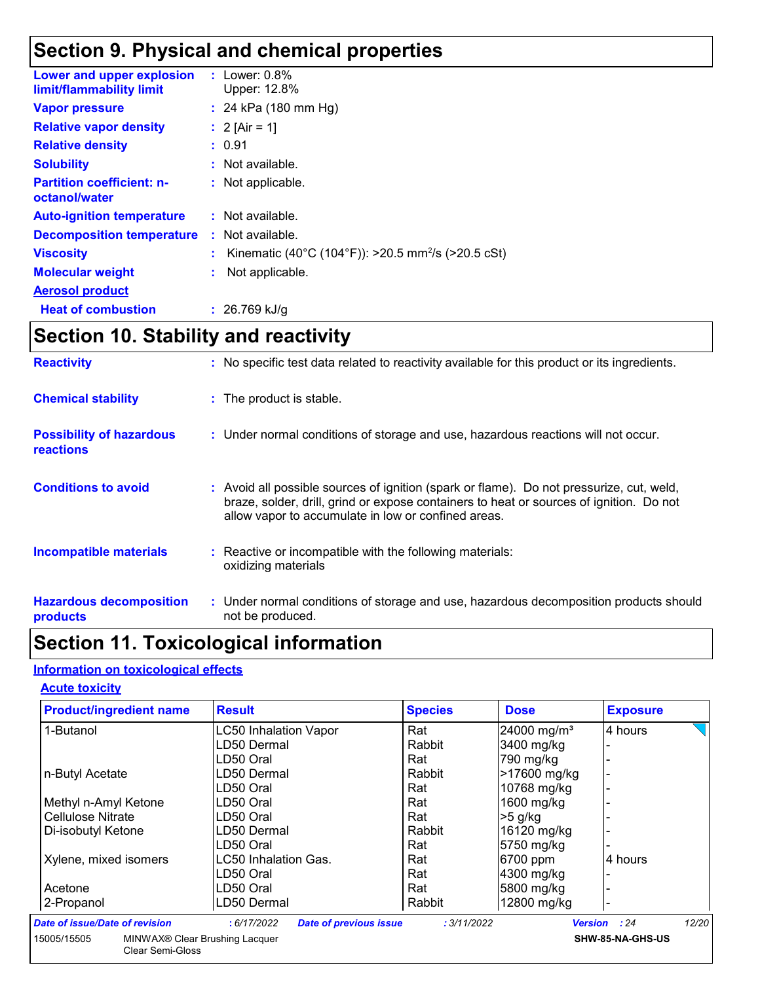### **Section 9. Physical and chemical properties**

| Lower and upper explosion<br>limit/flammability limit | : Lower: $0.8\%$<br>Upper: 12.8%                                 |
|-------------------------------------------------------|------------------------------------------------------------------|
| <b>Vapor pressure</b>                                 | : 24 kPa $(180 \text{ mm Hg})$                                   |
| <b>Relative vapor density</b>                         | : $2$ [Air = 1]                                                  |
| <b>Relative density</b>                               | : 0.91                                                           |
| <b>Solubility</b>                                     | : Not available.                                                 |
| <b>Partition coefficient: n-</b><br>octanol/water     | : Not applicable.                                                |
| <b>Auto-ignition temperature</b>                      | : Not available.                                                 |
| <b>Decomposition temperature</b>                      | $:$ Not available.                                               |
| <b>Viscosity</b>                                      | : Kinematic (40°C (104°F)): >20.5 mm <sup>2</sup> /s (>20.5 cSt) |
| <b>Molecular weight</b>                               | Not applicable.                                                  |
| <b>Aerosol product</b>                                |                                                                  |
| <b>Heat of combustion</b>                             | : $26.769$ kJ/g                                                  |

### **Section 10. Stability and reactivity**

| <b>Reactivity</b>                                   | : No specific test data related to reactivity available for this product or its ingredients.                                                                                                                                               |
|-----------------------------------------------------|--------------------------------------------------------------------------------------------------------------------------------------------------------------------------------------------------------------------------------------------|
| <b>Chemical stability</b>                           | : The product is stable.                                                                                                                                                                                                                   |
| <b>Possibility of hazardous</b><br><b>reactions</b> | : Under normal conditions of storage and use, hazardous reactions will not occur.                                                                                                                                                          |
| <b>Conditions to avoid</b>                          | : Avoid all possible sources of ignition (spark or flame). Do not pressurize, cut, weld,<br>braze, solder, drill, grind or expose containers to heat or sources of ignition. Do not<br>allow vapor to accumulate in low or confined areas. |
| <b>Incompatible materials</b>                       | : Reactive or incompatible with the following materials:<br>oxidizing materials                                                                                                                                                            |
| <b>Hazardous decomposition</b><br>products          | : Under normal conditions of storage and use, hazardous decomposition products should<br>not be produced.                                                                                                                                  |

### **Section 11. Toxicological information**

#### **Information on toxicological effects**

Clear Semi-Gloss

#### **Acute toxicity**

| <b>Product/ingredient name</b> | <b>Result</b>                | <b>Species</b> | <b>Dose</b>             | <b>Exposure</b> |
|--------------------------------|------------------------------|----------------|-------------------------|-----------------|
| 1-Butanol                      | <b>LC50 Inhalation Vapor</b> | Rat            | 24000 mg/m <sup>3</sup> | 4 hours         |
|                                | LD50 Dermal                  | Rabbit         | 3400 mg/kg              |                 |
|                                | LD50 Oral                    | Rat            | 790 mg/kg               |                 |
| n-Butyl Acetate                | LD50 Dermal                  | Rabbit         | >17600 mg/kg            |                 |
|                                | LD50 Oral                    | Rat            | 10768 mg/kg             |                 |
| Methyl n-Amyl Ketone           | LD50 Oral                    | Rat            | 1600 mg/kg              |                 |
| Cellulose Nitrate              | LD50 Oral                    | Rat            | $>5$ g/kg               |                 |
| Di-isobutyl Ketone             | LD50 Dermal                  | Rabbit         | 16120 mg/kg             |                 |
|                                | LD50 Oral                    | Rat            | 5750 mg/kg              |                 |
| Xylene, mixed isomers          | LC50 Inhalation Gas.         | Rat            | 6700 ppm                | 4 hours         |
|                                | LD50 Oral                    | Rat            | 4300 mg/kg              |                 |
| Acetone                        | LD50 Oral                    | Rat            | 5800 mg/kg              |                 |
| 2-Propanol                     | LD50 Dermal                  | Rabbit         | 12800 mg/kg             |                 |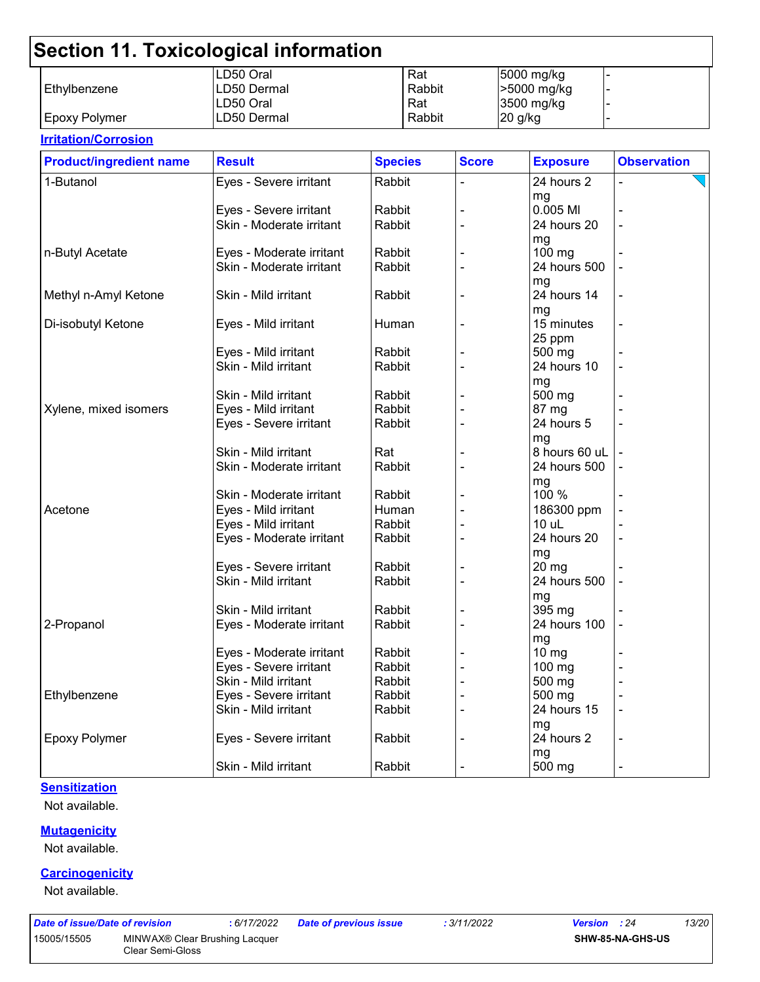|                      | LD50 Oral   | Rat    | 5000 mg/kg  |  |
|----------------------|-------------|--------|-------------|--|
| l Ethvlbenzene       | LD50 Dermal | Rabbit | -5000 mg/kg |  |
|                      | LD50 Oral   | Rat    | 3500 mg/kg  |  |
| <b>Epoxy Polymer</b> | LD50 Dermal | Rabbit | 20 g/kg     |  |

#### **Irritation/Corrosion** 1-Butanol **Eyes - Severe irritant** Rabbit |- 24 hours 2 mg - Eyes - Severe irritant Rabbit - 0.005 Ml - Skin - Moderate irritant mg<br>100 ma n-Butyl Acetate Eyes - Moderate irritant Rabbit - 100 mg - Skin - Moderate irritant mg - Methyl n-Amyl Ketone Skin - Mild irritant Rabbit - 24 hours 14 mg - Di-isobutyl Ketone Eyes - Mild irritant Human - 15 minutes 25 ppm - Eyes - Mild irritant  $\vert$  Rabbit  $\vert$  -  $\vert$  -  $\vert$  500 mg Skin - Mild irritant  $\vert$ Rabbit  $\vert$  -  $\vert$  24 hours 10 mg - Skin - Mild irritant  $|R$ Rabbit  $|$  -  $|$  500 mg  $X$ ylene, mixed isomers  $\qquad$  Eyes - Mild irritant  $\qquad$  Rabbit  $\qquad$  - 87 mg Eyes - Severe irritant Rabbit - 24 hours 5 mg - Skin - Mild irritant - Rat - Rat - 8 hours 60 uL Skin - Moderate irritant | Rabbit | - | 24 hours 500 mg<br>100 % - Skin - Moderate irritant - 1 Rabbit Acetone Eyes - Mild irritant Human - 186300 ppm - Eyes - Mild irritant Rabbit - 10 uL - Eyes - Moderate irritant  $\begin{array}{|c|c|c|c|c|c|}\n\hline\n\end{array}$  Rabbit  $\begin{array}{|c|c|c|c|c|c|c|c|}\n\hline\n\end{array}$  24 hours 20 mg<br>20 mg - Eyes - Severe irritant | Rabbit Skin - Mild irritant Rabbit - 24 hours 500 mg - Skin - Mild irritant - Rabbit - 1. 1395 mg 2-Propanol Eyes - Moderate irritant Rabbit - 24 hours 100 mg - Eyes - Moderate irritant  $\vert$  Rabbit  $\vert$  -  $\vert$  10 mg Eyes - Severe irritant | Rabbit | - 100 mg Skin - Mild irritant  $\vert$ Rabbit  $\vert$  -  $\vert$  500 mg Ethylbenzene Eyes - Severe irritant Rabbit - 500 mg - Skin - Mild irritant  $\vert$  Rabbit  $\vert$  -  $\vert$  24 hours 15 mg - Epoxy Polymer **Exercity** Experiment Exercise irritant Rabbit  $\vert$  - 24 hours 2 mg - Skin - Mild irritant  $\vert$  Rabbit  $\vert$  -  $\vert$  - 500 mg **Product/ingredient name** Result **Result All Species** Score **Exposure** Observation **Species**

#### **Sensitization**

Not available.

#### **Mutagenicity**

Not available.

#### **Carcinogenicity**

Not available.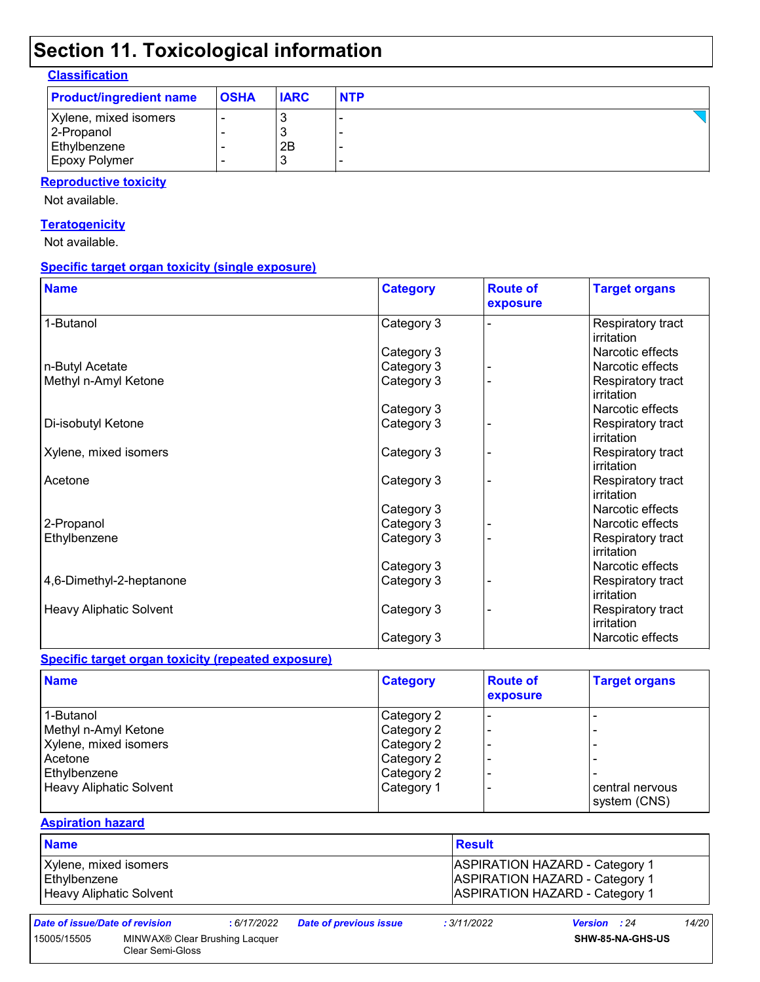| <b>Classification</b> |
|-----------------------|
|-----------------------|

| <b>Product/ingredient name</b> | <b>OSHA</b> | <b>IARC</b> | <b>NTP</b> |
|--------------------------------|-------------|-------------|------------|
| Xylene, mixed isomers          |             |             |            |
| 2-Propanol                     |             |             |            |
| Ethylbenzene                   |             | 2B          |            |
| Epoxy Polymer                  |             |             |            |

### **Reproductive toxicity**

Not available.

#### **Teratogenicity**

Not available.

#### **Specific target organ toxicity (single exposure)**

| <b>Name</b>                    | <b>Category</b> | <b>Route of</b><br>exposure | <b>Target organs</b>            |
|--------------------------------|-----------------|-----------------------------|---------------------------------|
| 1-Butanol                      | Category 3      |                             | Respiratory tract<br>irritation |
|                                | Category 3      |                             | Narcotic effects                |
| n-Butyl Acetate                | Category 3      |                             | Narcotic effects                |
| Methyl n-Amyl Ketone           | Category 3      |                             | Respiratory tract<br>irritation |
|                                | Category 3      |                             | Narcotic effects                |
| Di-isobutyl Ketone             | Category 3      |                             | Respiratory tract<br>irritation |
| Xylene, mixed isomers          | Category 3      |                             | Respiratory tract<br>irritation |
| Acetone                        | Category 3      |                             | Respiratory tract<br>irritation |
|                                | Category 3      |                             | Narcotic effects                |
| 2-Propanol                     | Category 3      |                             | Narcotic effects                |
| Ethylbenzene                   | Category 3      |                             | Respiratory tract<br>irritation |
|                                | Category 3      |                             | Narcotic effects                |
| 4,6-Dimethyl-2-heptanone       | Category 3      |                             | Respiratory tract<br>irritation |
| <b>Heavy Aliphatic Solvent</b> | Category 3      |                             | Respiratory tract<br>irritation |
|                                | Category 3      |                             | Narcotic effects                |

#### **Specific target organ toxicity (repeated exposure)**

| <b>Name</b>             | <b>Category</b> | <b>Route of</b><br>exposure | <b>Target organs</b> |
|-------------------------|-----------------|-----------------------------|----------------------|
| 1-Butanol               | Category 2      |                             |                      |
| Methyl n-Amyl Ketone    | Category 2      |                             |                      |
| Xylene, mixed isomers   | Category 2      |                             |                      |
| Acetone                 | Category 2      |                             |                      |
| Ethylbenzene            | Category 2      |                             |                      |
| Heavy Aliphatic Solvent | Category 1      |                             | central nervous      |
|                         |                 |                             | system (CNS)         |

#### **Aspiration hazard**

| <b>Name</b>             | <b>Result</b>                         |
|-------------------------|---------------------------------------|
| Xylene, mixed isomers   | <b>ASPIRATION HAZARD - Category 1</b> |
| Ethylbenzene            | <b>ASPIRATION HAZARD - Category 1</b> |
| Heavy Aliphatic Solvent | <b>ASPIRATION HAZARD - Category 1</b> |

|  | Date of issue/Date of re |  |
|--|--------------------------|--|
|--|--------------------------|--|

```
Date of issue/Date of revision : 6/17/2022 Date of previous issue : 3/11/2022 Version : 24 14/20
```
Clear Semi-Gloss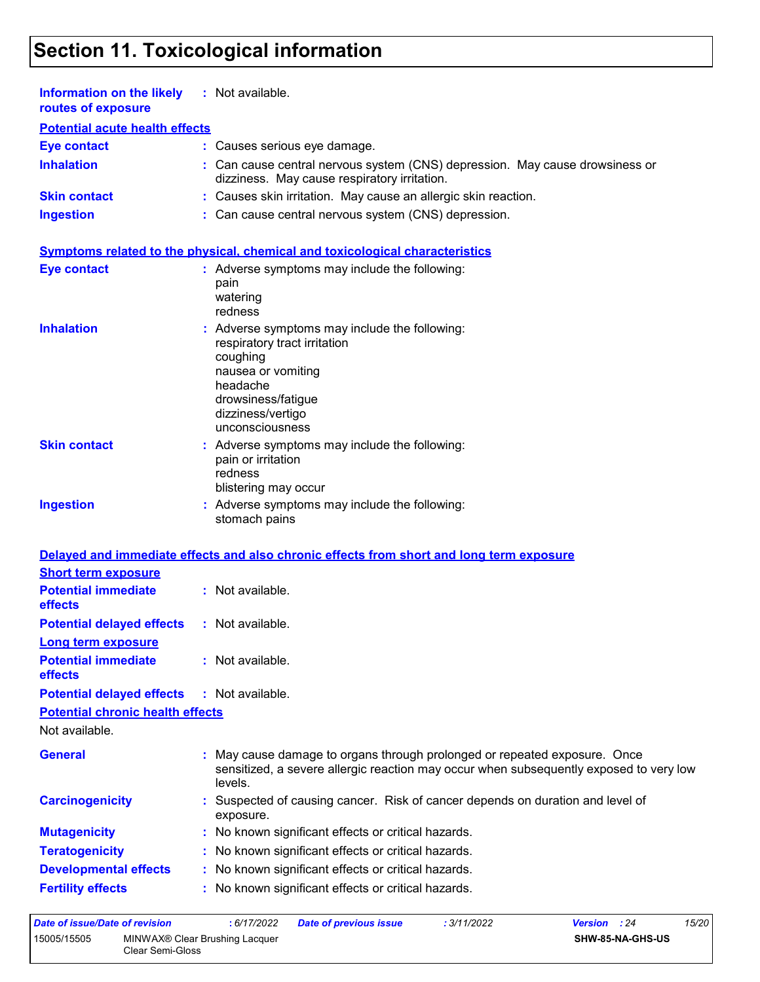| Information on the likely<br>routes of exposure                     | : Not available.                                                                                                                                                                        |
|---------------------------------------------------------------------|-----------------------------------------------------------------------------------------------------------------------------------------------------------------------------------------|
| <b>Potential acute health effects</b>                               |                                                                                                                                                                                         |
| <b>Eye contact</b>                                                  | : Causes serious eye damage.                                                                                                                                                            |
| <b>Inhalation</b>                                                   | : Can cause central nervous system (CNS) depression. May cause drowsiness or<br>dizziness. May cause respiratory irritation.                                                            |
| <b>Skin contact</b>                                                 | : Causes skin irritation. May cause an allergic skin reaction.                                                                                                                          |
| <b>Ingestion</b>                                                    | : Can cause central nervous system (CNS) depression.                                                                                                                                    |
|                                                                     | Symptoms related to the physical, chemical and toxicological characteristics                                                                                                            |
| <b>Eye contact</b>                                                  | : Adverse symptoms may include the following:<br>pain<br>watering<br>redness                                                                                                            |
| <b>Inhalation</b>                                                   | Adverse symptoms may include the following:<br>respiratory tract irritation<br>coughing<br>nausea or vomiting<br>headache<br>drowsiness/fatigue<br>dizziness/vertigo<br>unconsciousness |
| <b>Skin contact</b>                                                 | : Adverse symptoms may include the following:<br>pain or irritation<br>redness<br>blistering may occur                                                                                  |
| <b>Ingestion</b>                                                    | : Adverse symptoms may include the following:<br>stomach pains                                                                                                                          |
|                                                                     | Delayed and immediate effects and also chronic effects from short and long term exposure                                                                                                |
| <b>Short term exposure</b><br><b>Potential immediate</b><br>effects | : Not available.                                                                                                                                                                        |
| <b>Potential delayed effects</b>                                    | : Not available.                                                                                                                                                                        |
| Long term exposure                                                  |                                                                                                                                                                                         |
| <b>Potential immediate</b><br>effects                               | : Not available.                                                                                                                                                                        |
| <b>Potential delayed effects</b>                                    | : Not available.                                                                                                                                                                        |
| <b>Potential chronic health effects</b>                             |                                                                                                                                                                                         |
| Not available.                                                      |                                                                                                                                                                                         |
| <b>General</b>                                                      | May cause damage to organs through prolonged or repeated exposure. Once<br>sensitized, a severe allergic reaction may occur when subsequently exposed to very low<br>levels.            |
| <b>Carcinogenicity</b>                                              | Suspected of causing cancer. Risk of cancer depends on duration and level of<br>exposure.                                                                                               |
| <b>Mutagenicity</b>                                                 | No known significant effects or critical hazards.                                                                                                                                       |
| <b>Teratogenicity</b>                                               | : No known significant effects or critical hazards.                                                                                                                                     |
| <b>Developmental effects</b>                                        | : No known significant effects or critical hazards.                                                                                                                                     |
| <b>Fertility effects</b>                                            | : No known significant effects or critical hazards.                                                                                                                                     |
| Date of issue/Date of revision                                      | 15/20<br>: 6/17/2022<br>: 3/11/2022<br>Version : 24<br><b>Date of previous issue</b>                                                                                                    |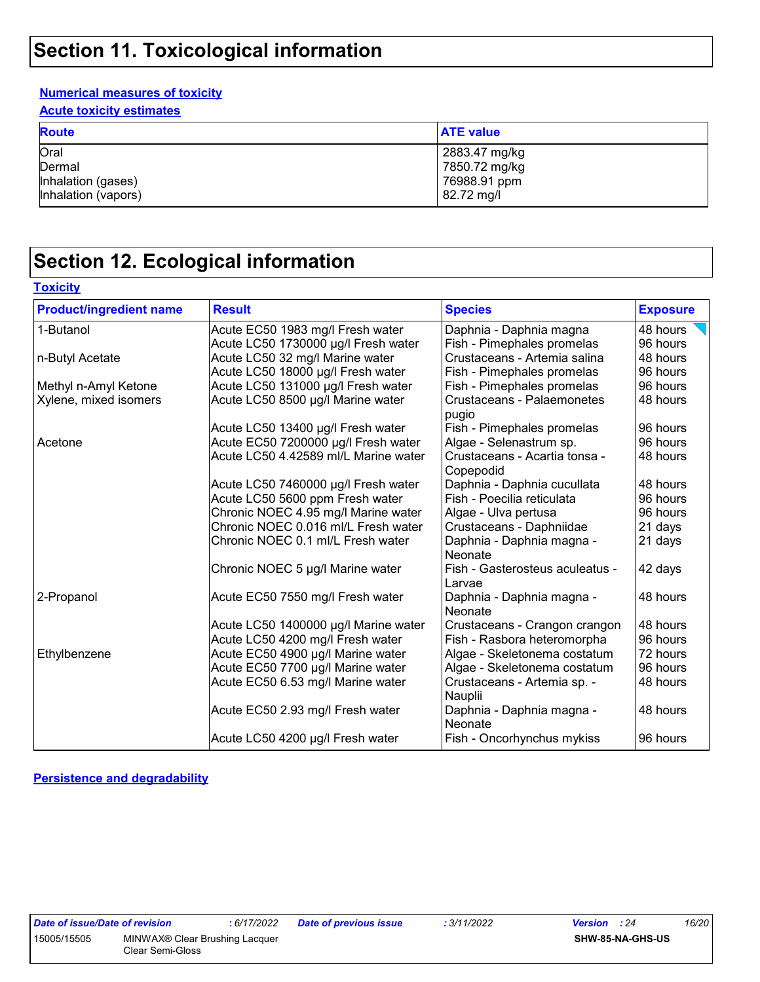#### **Numerical measures of toxicity**

**Acute toxicity estimates**

| <b>Route</b>        | <b>ATE value</b> |
|---------------------|------------------|
| Oral                | 2883.47 mg/kg    |
| Dermal              | 7850.72 mg/kg    |
| Inhalation (gases)  | 76988.91 ppm     |
| Inhalation (vapors) | 82.72 mg/l       |

### **Section 12. Ecological information**

| <b>Product/ingredient name</b> | <b>Result</b>                        | <b>Species</b>                             | <b>Exposure</b> |
|--------------------------------|--------------------------------------|--------------------------------------------|-----------------|
| 1-Butanol                      | Acute EC50 1983 mg/l Fresh water     | Daphnia - Daphnia magna                    | 48 hours        |
|                                | Acute LC50 1730000 µg/l Fresh water  | Fish - Pimephales promelas                 | 96 hours        |
| n-Butyl Acetate                | Acute LC50 32 mg/l Marine water      | Crustaceans - Artemia salina               | 48 hours        |
|                                | Acute LC50 18000 µg/l Fresh water    | Fish - Pimephales promelas                 | 96 hours        |
| Methyl n-Amyl Ketone           | Acute LC50 131000 µg/l Fresh water   | Fish - Pimephales promelas                 | 96 hours        |
| Xylene, mixed isomers          | Acute LC50 8500 µg/l Marine water    | <b>Crustaceans - Palaemonetes</b><br>pugio | 48 hours        |
|                                | Acute LC50 13400 µg/l Fresh water    | Fish - Pimephales promelas                 | 96 hours        |
| Acetone                        | Acute EC50 7200000 µg/l Fresh water  | Algae - Selenastrum sp.                    | 96 hours        |
|                                | Acute LC50 4.42589 ml/L Marine water | Crustaceans - Acartia tonsa -<br>Copepodid | 48 hours        |
|                                | Acute LC50 7460000 µg/l Fresh water  | Daphnia - Daphnia cucullata                | 48 hours        |
|                                | Acute LC50 5600 ppm Fresh water      | Fish - Poecilia reticulata                 | 96 hours        |
|                                | Chronic NOEC 4.95 mg/l Marine water  | Algae - Ulva pertusa                       | 96 hours        |
|                                | Chronic NOEC 0.016 ml/L Fresh water  | Crustaceans - Daphniidae                   | 21 days         |
|                                | Chronic NOEC 0.1 ml/L Fresh water    | Daphnia - Daphnia magna -<br>Neonate       | 21 days         |
|                                | Chronic NOEC 5 µg/l Marine water     | Fish - Gasterosteus aculeatus -<br>Larvae  | 42 days         |
| 2-Propanol                     | Acute EC50 7550 mg/l Fresh water     | Daphnia - Daphnia magna -<br>Neonate       | 48 hours        |
|                                | Acute LC50 1400000 µg/l Marine water | Crustaceans - Crangon crangon              | 48 hours        |
|                                | Acute LC50 4200 mg/l Fresh water     | Fish - Rasbora heteromorpha                | 96 hours        |
| Ethylbenzene                   | Acute EC50 4900 µg/l Marine water    | Algae - Skeletonema costatum               | 72 hours        |
|                                | Acute EC50 7700 µg/l Marine water    | Algae - Skeletonema costatum               | 96 hours        |
|                                | Acute EC50 6.53 mg/l Marine water    | Crustaceans - Artemia sp. -<br>Nauplii     | 48 hours        |
|                                | Acute EC50 2.93 mg/l Fresh water     | Daphnia - Daphnia magna -<br>Neonate       | 48 hours        |
|                                | Acute LC50 4200 µg/l Fresh water     | Fish - Oncorhynchus mykiss                 | 96 hours        |

**Persistence and degradability**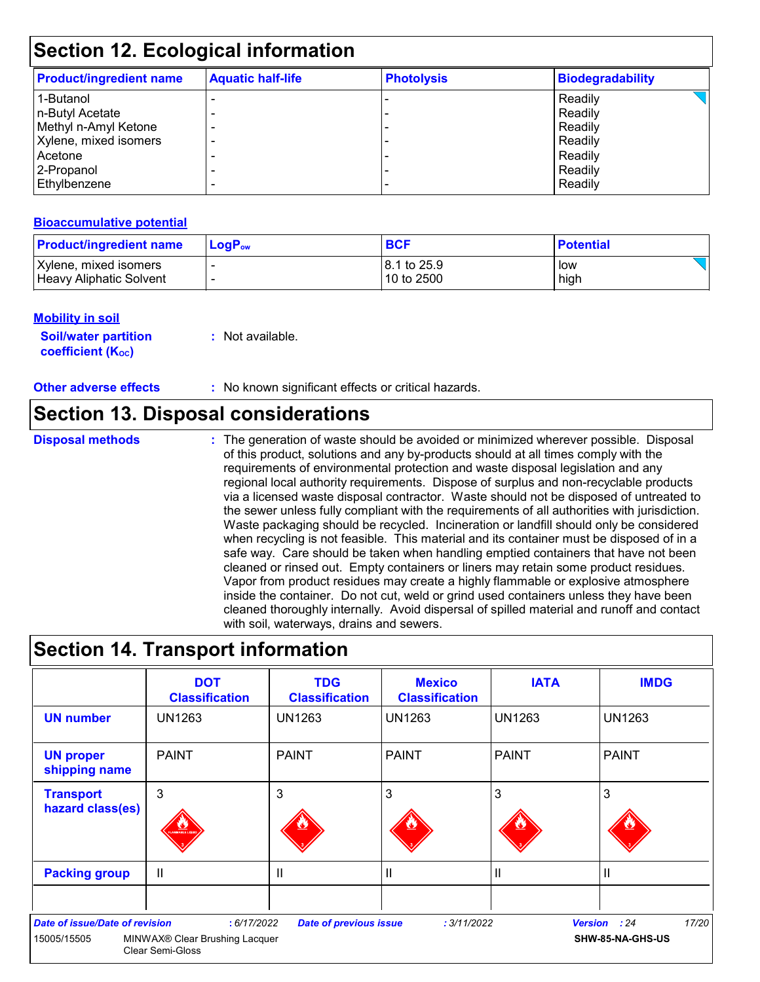| <b>Product/ingredient name</b> | <b>Aquatic half-life</b> | <b>Photolysis</b> | <b>Biodegradability</b> |
|--------------------------------|--------------------------|-------------------|-------------------------|
| 1-Butanol                      |                          |                   | Readily                 |
| n-Butyl Acetate                |                          |                   | Readily                 |
| Methyl n-Amyl Ketone           |                          |                   | Readily                 |
| Xylene, mixed isomers          |                          |                   | Readily                 |
| Acetone                        |                          |                   | Readily                 |
| 2-Propanol                     |                          |                   | Readily                 |
| Ethylbenzene                   |                          |                   | Readily                 |

#### **Bioaccumulative potential**

| <b>Product/ingredient name</b> | $\mathsf{LogP}_\mathsf{ow}$ | <b>BCF</b>   | <b>Potential</b> |
|--------------------------------|-----------------------------|--------------|------------------|
| Xylene, mixed isomers          |                             | 18.1 to 25.9 | low              |
| Heavy Aliphatic Solvent        |                             | 10 to 2500   | high             |

#### **Mobility in soil**

**Soil/water partition coefficient (K**<sub>oc</sub>)

**:** Not available.

**Other adverse effects** : No known significant effects or critical hazards.

### **Section 13. Disposal considerations**

**Disposal methods :**

The generation of waste should be avoided or minimized wherever possible. Disposal of this product, solutions and any by-products should at all times comply with the requirements of environmental protection and waste disposal legislation and any regional local authority requirements. Dispose of surplus and non-recyclable products via a licensed waste disposal contractor. Waste should not be disposed of untreated to the sewer unless fully compliant with the requirements of all authorities with jurisdiction. Waste packaging should be recycled. Incineration or landfill should only be considered when recycling is not feasible. This material and its container must be disposed of in a safe way. Care should be taken when handling emptied containers that have not been cleaned or rinsed out. Empty containers or liners may retain some product residues. Vapor from product residues may create a highly flammable or explosive atmosphere inside the container. Do not cut, weld or grind used containers unless they have been cleaned thoroughly internally. Avoid dispersal of spilled material and runoff and contact with soil, waterways, drains and sewers.

### **Section 14. Transport information**

|                                                      | <b>DOT</b><br><b>Classification</b>                                      | <b>TDG</b><br><b>Classification</b> | <b>Mexico</b><br><b>Classification</b> | <b>IATA</b>   | <b>IMDG</b>                               |
|------------------------------------------------------|--------------------------------------------------------------------------|-------------------------------------|----------------------------------------|---------------|-------------------------------------------|
| <b>UN number</b>                                     | <b>UN1263</b>                                                            | <b>UN1263</b>                       | <b>UN1263</b>                          | <b>UN1263</b> | <b>UN1263</b>                             |
| <b>UN proper</b><br>shipping name                    | <b>PAINT</b>                                                             | <b>PAINT</b>                        | <b>PAINT</b>                           | <b>PAINT</b>  | <b>PAINT</b>                              |
| <b>Transport</b><br>hazard class(es)                 | 3<br><b>MMABLE LIGH</b>                                                  | 3                                   | 3                                      | 3             | 3                                         |
| <b>Packing group</b>                                 | $\mathbf{I}$                                                             | $\mathbf{I}$                        | $\mathbf{H}$                           | $\mathbf{I}$  | Ш                                         |
| <b>Date of issue/Date of revision</b><br>15005/15505 | : 6/17/2022<br>MINWAX® Clear Brushing Lacquer<br><b>Clear Semi-Gloss</b> | <b>Date of previous issue</b>       | : 3/11/2022                            |               | 17/20<br>Version : 24<br>SHW-85-NA-GHS-US |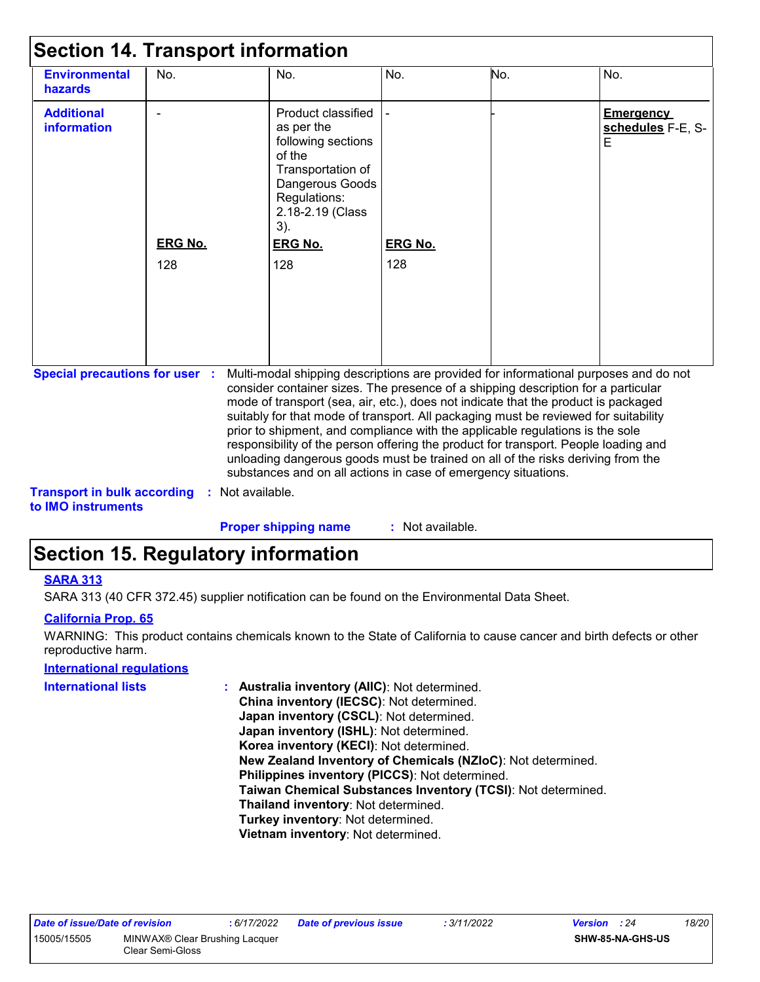| <b>Environmental</b><br>hazards                                             | No.                   | No.                                                                                                                                                                                                                                                                                                                                                                                                                                                                                                                                                                                                                                                                                 | No.                   | No. | No.                                        |
|-----------------------------------------------------------------------------|-----------------------|-------------------------------------------------------------------------------------------------------------------------------------------------------------------------------------------------------------------------------------------------------------------------------------------------------------------------------------------------------------------------------------------------------------------------------------------------------------------------------------------------------------------------------------------------------------------------------------------------------------------------------------------------------------------------------------|-----------------------|-----|--------------------------------------------|
| <b>Additional</b><br><b>information</b>                                     | <b>ERG No.</b><br>128 | Product classified<br>as per the<br>following sections<br>of the<br>Transportation of<br>Dangerous Goods<br>Regulations:<br>2.18-2.19 (Class<br>3).<br><b>ERG No.</b><br>128                                                                                                                                                                                                                                                                                                                                                                                                                                                                                                        | <b>ERG No.</b><br>128 |     | <b>Emergency</b><br>schedules F-E, S-<br>E |
| <b>Special precautions for user :</b><br><b>Transport in bulk according</b> | Not available.        | Multi-modal shipping descriptions are provided for informational purposes and do not<br>consider container sizes. The presence of a shipping description for a particular<br>mode of transport (sea, air, etc.), does not indicate that the product is packaged<br>suitably for that mode of transport. All packaging must be reviewed for suitability<br>prior to shipment, and compliance with the applicable regulations is the sole<br>responsibility of the person offering the product for transport. People loading and<br>unloading dangerous goods must be trained on all of the risks deriving from the<br>substances and on all actions in case of emergency situations. |                       |     |                                            |

**to IMO instruments**

: Not available. **Proper shipping name :**

### **Section 15. Regulatory information**

#### **SARA 313**

SARA 313 (40 CFR 372.45) supplier notification can be found on the Environmental Data Sheet.

#### **California Prop. 65**

WARNING: This product contains chemicals known to the State of California to cause cancer and birth defects or other reproductive harm.

#### **International regulations**

| International lists | Australia inventory (AIIC): Not determined.                  |
|---------------------|--------------------------------------------------------------|
|                     | China inventory (IECSC): Not determined.                     |
|                     | Japan inventory (CSCL): Not determined.                      |
|                     | Japan inventory (ISHL): Not determined.                      |
|                     | Korea inventory (KECI): Not determined.                      |
|                     | New Zealand Inventory of Chemicals (NZIoC): Not determined.  |
|                     | Philippines inventory (PICCS): Not determined.               |
|                     | Taiwan Chemical Substances Inventory (TCSI): Not determined. |
|                     | Thailand inventory: Not determined.                          |
|                     | Turkey inventory: Not determined.                            |
|                     | Vietnam inventory: Not determined.                           |
|                     |                                                              |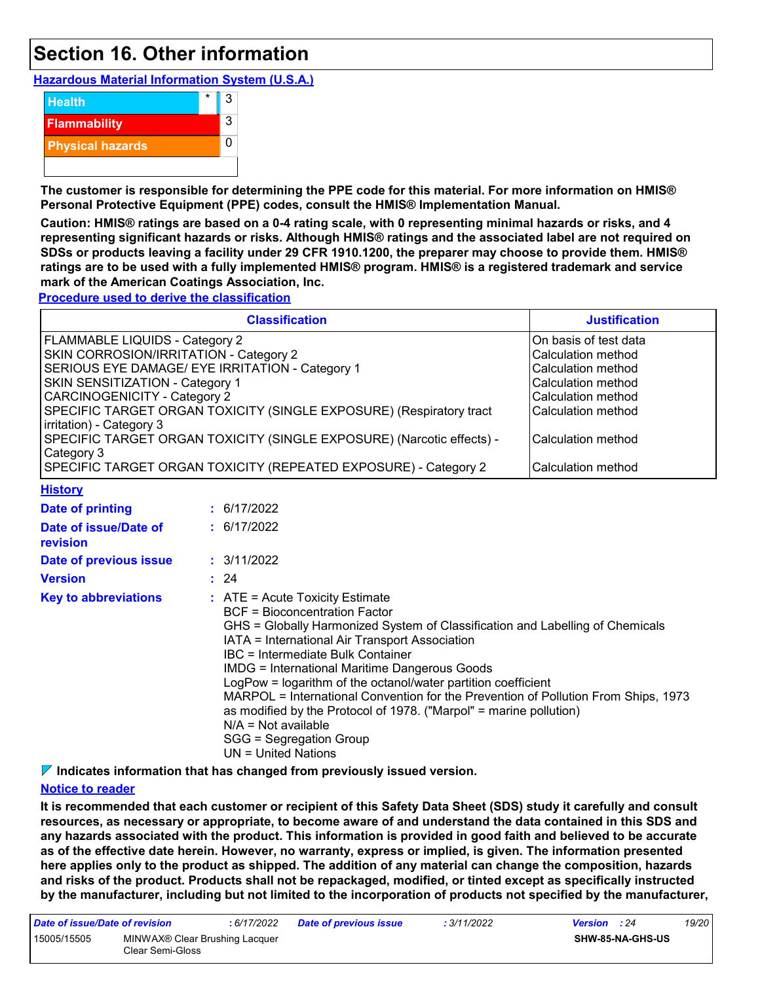### **Section 16. Other information**

**Hazardous Material Information System (U.S.A.)**



**The customer is responsible for determining the PPE code for this material. For more information on HMIS® Personal Protective Equipment (PPE) codes, consult the HMIS® Implementation Manual.**

**Caution: HMIS® ratings are based on a 0-4 rating scale, with 0 representing minimal hazards or risks, and 4 representing significant hazards or risks. Although HMIS® ratings and the associated label are not required on SDSs or products leaving a facility under 29 CFR 1910.1200, the preparer may choose to provide them. HMIS® ratings are to be used with a fully implemented HMIS® program. HMIS® is a registered trademark and service mark of the American Coatings Association, Inc.**

**Procedure used to derive the classification**

|                                                                                                                                                                                              | <b>Classification</b>                                                                                                                                                                                                                                                                                                                                                                                                                                                                                                                                                                           | <b>Justification</b>                                                                                                                                                                   |
|----------------------------------------------------------------------------------------------------------------------------------------------------------------------------------------------|-------------------------------------------------------------------------------------------------------------------------------------------------------------------------------------------------------------------------------------------------------------------------------------------------------------------------------------------------------------------------------------------------------------------------------------------------------------------------------------------------------------------------------------------------------------------------------------------------|----------------------------------------------------------------------------------------------------------------------------------------------------------------------------------------|
| FLAMMABLE LIQUIDS - Category 2<br>SKIN CORROSION/IRRITATION - Category 2<br>SKIN SENSITIZATION - Category 1<br><b>CARCINOGENICITY - Category 2</b><br>irritation) - Category 3<br>Category 3 | SERIOUS EYE DAMAGE/ EYE IRRITATION - Category 1<br>SPECIFIC TARGET ORGAN TOXICITY (SINGLE EXPOSURE) (Respiratory tract<br>SPECIFIC TARGET ORGAN TOXICITY (SINGLE EXPOSURE) (Narcotic effects) -<br>SPECIFIC TARGET ORGAN TOXICITY (REPEATED EXPOSURE) - Category 2                                                                                                                                                                                                                                                                                                                              | On basis of test data<br><b>Calculation method</b><br>Calculation method<br>Calculation method<br>Calculation method<br>Calculation method<br>Calculation method<br>Calculation method |
| <b>History</b>                                                                                                                                                                               |                                                                                                                                                                                                                                                                                                                                                                                                                                                                                                                                                                                                 |                                                                                                                                                                                        |
| <b>Date of printing</b>                                                                                                                                                                      | : 6/17/2022                                                                                                                                                                                                                                                                                                                                                                                                                                                                                                                                                                                     |                                                                                                                                                                                        |
| Date of issue/Date of<br>revision                                                                                                                                                            | : 6/17/2022                                                                                                                                                                                                                                                                                                                                                                                                                                                                                                                                                                                     |                                                                                                                                                                                        |
| Date of previous issue                                                                                                                                                                       | : 3/11/2022                                                                                                                                                                                                                                                                                                                                                                                                                                                                                                                                                                                     |                                                                                                                                                                                        |
| <b>Version</b>                                                                                                                                                                               | : 24                                                                                                                                                                                                                                                                                                                                                                                                                                                                                                                                                                                            |                                                                                                                                                                                        |
| <b>Key to abbreviations</b>                                                                                                                                                                  | : ATE = Acute Toxicity Estimate<br><b>BCF</b> = Bioconcentration Factor<br>GHS = Globally Harmonized System of Classification and Labelling of Chemicals<br>IATA = International Air Transport Association<br><b>IBC</b> = Intermediate Bulk Container<br><b>IMDG = International Maritime Dangerous Goods</b><br>LogPow = logarithm of the octanol/water partition coefficient<br>MARPOL = International Convention for the Prevention of Pollution From Ships, 1973<br>as modified by the Protocol of 1978. ("Marpol" = marine pollution)<br>$N/A = Not available$<br>SGG = Segregation Group |                                                                                                                                                                                        |

UN = United Nations

**Indicates information that has changed from previously issued version.**

#### **Notice to reader**

**It is recommended that each customer or recipient of this Safety Data Sheet (SDS) study it carefully and consult resources, as necessary or appropriate, to become aware of and understand the data contained in this SDS and any hazards associated with the product. This information is provided in good faith and believed to be accurate as of the effective date herein. However, no warranty, express or implied, is given. The information presented here applies only to the product as shipped. The addition of any material can change the composition, hazards and risks of the product. Products shall not be repackaged, modified, or tinted except as specifically instructed by the manufacturer, including but not limited to the incorporation of products not specified by the manufacturer,**

| Date of issue/Date of revision |                                                    | : 6/17/2022 | <b>Date of previous issue</b> | : 3/11/2022 | <b>Version</b> : 24 | 19/20 |
|--------------------------------|----------------------------------------------------|-------------|-------------------------------|-------------|---------------------|-------|
| 15005/15505                    | MINWAX® Clear Brushing Lacquer<br>Clear Semi-Gloss |             |                               |             | SHW-85-NA-GHS-US    |       |